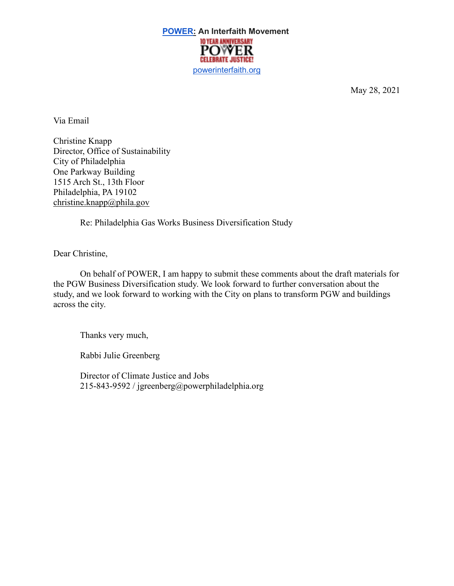

May 28, 2021

Via Email

Christine Knapp Director, Office of Sustainability City of Philadelphia One Parkway Building 1515 Arch St., 13th Floor Philadelphia, PA 19102 christine.knapp@phila.gov

Re: Philadelphia Gas Works Business Diversification Study

Dear Christine,

On behalf of POWER, I am happy to submit these comments about the draft materials for the PGW Business Diversification study. We look forward to further conversation about the study, and we look forward to working with the City on plans to transform PGW and buildings across the city.

Thanks very much,

Rabbi Julie Greenberg

Director of Climate Justice and Jobs 215-843-9592 / jgreenberg@powerphiladelphia.org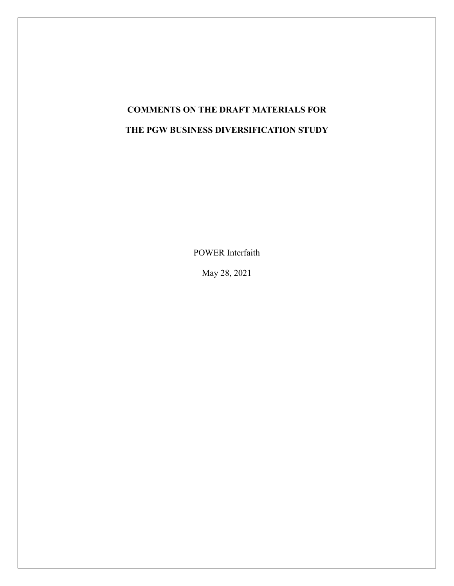# **COMMENTS ON THE DRAFT MATERIALS FOR THE PGW BUSINESS DIVERSIFICATION STUDY**

POWER Interfaith

May 28, 2021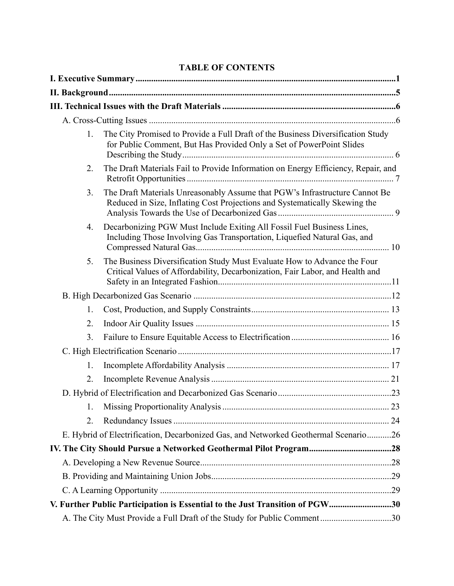| 1. | The City Promised to Provide a Full Draft of the Business Diversification Study<br>for Public Comment, But Has Provided Only a Set of PowerPoint Slides   |  |
|----|-----------------------------------------------------------------------------------------------------------------------------------------------------------|--|
| 2. | The Draft Materials Fail to Provide Information on Energy Efficiency, Repair, and                                                                         |  |
| 3. | The Draft Materials Unreasonably Assume that PGW's Infrastructure Cannot Be<br>Reduced in Size, Inflating Cost Projections and Systematically Skewing the |  |
| 4. | Decarbonizing PGW Must Include Exiting All Fossil Fuel Business Lines,<br>Including Those Involving Gas Transportation, Liquefied Natural Gas, and        |  |
| 5. | The Business Diversification Study Must Evaluate How to Advance the Four<br>Critical Values of Affordability, Decarbonization, Fair Labor, and Health and |  |
|    |                                                                                                                                                           |  |
| 1. |                                                                                                                                                           |  |
| 2. |                                                                                                                                                           |  |
| 3. |                                                                                                                                                           |  |
|    |                                                                                                                                                           |  |
| 1. |                                                                                                                                                           |  |
| 2. |                                                                                                                                                           |  |
|    |                                                                                                                                                           |  |
| 1. |                                                                                                                                                           |  |
| 2. |                                                                                                                                                           |  |
|    | E. Hybrid of Electrification, Decarbonized Gas, and Networked Geothermal Scenario26                                                                       |  |
|    |                                                                                                                                                           |  |
|    |                                                                                                                                                           |  |
|    |                                                                                                                                                           |  |
|    |                                                                                                                                                           |  |
|    | V. Further Public Participation is Essential to the Just Transition of PGW30                                                                              |  |
|    | A. The City Must Provide a Full Draft of the Study for Public Comment30                                                                                   |  |

## **TABLE OF CONTENTS**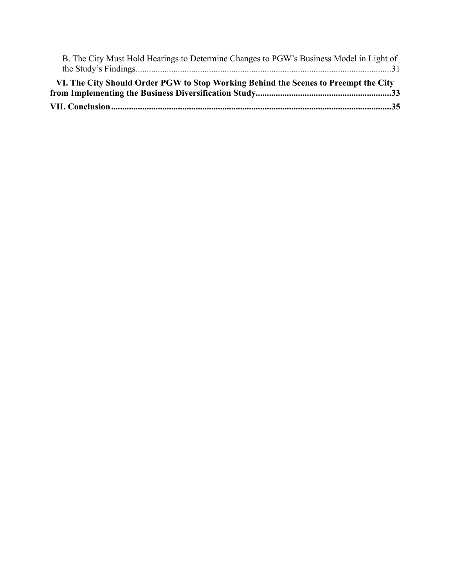| B. The City Must Hold Hearings to Determine Changes to PGW's Business Model in Light of |  |
|-----------------------------------------------------------------------------------------|--|
|                                                                                         |  |
| VI. The City Should Order PGW to Stop Working Behind the Scenes to Preempt the City     |  |
|                                                                                         |  |
|                                                                                         |  |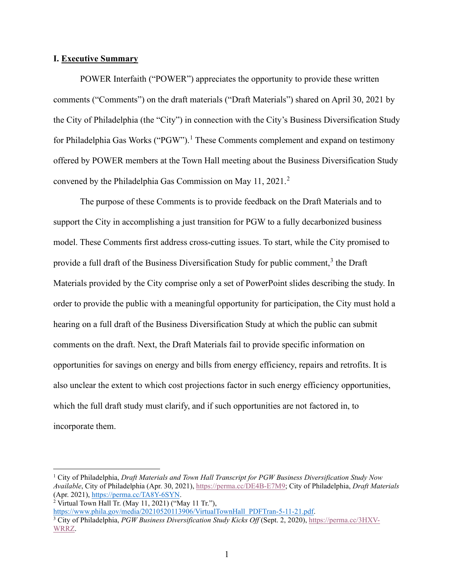#### <span id="page-4-0"></span>**I. Executive Summary**

POWER Interfaith ("POWER") appreciates the opportunity to provide these written comments ("Comments") on the draft materials ("Draft Materials") shared on April 30, 2021 by the City of Philadelphia (the "City") in connection with the City's Business Diversification Study for Philadelphia Gas Works ("PGW").<sup>[1](#page-4-1)</sup> These Comments complement and expand on testimony offered by POWER members at the Town Hall meeting about the Business Diversification Study convened by the Philadelphia Gas Commission on May 11, [2](#page-4-2)021.<sup>2</sup>

The purpose of these Comments is to provide feedback on the Draft Materials and to support the City in accomplishing a just transition for PGW to a fully decarbonized business model. These Comments first address cross-cutting issues. To start, while the City promised to provide a full draft of the Business Diversification Study for public comment, $3$  the Draft Materials provided by the City comprise only a set of PowerPoint slides describing the study. In order to provide the public with a meaningful opportunity for participation, the City must hold a hearing on a full draft of the Business Diversification Study at which the public can submit comments on the draft. Next, the Draft Materials fail to provide specific information on opportunities for savings on energy and bills from energy efficiency, repairs and retrofits. It is also unclear the extent to which cost projections factor in such energy efficiency opportunities, which the full draft study must clarify, and if such opportunities are not factored in, to incorporate them.

<span id="page-4-1"></span><sup>1</sup> City of Philadelphia, *Draft Materials and Town Hall Transcript for PGW Business Diversification Study Now Available*, City of Philadelphia (Apr. 30, 2021)[, https://perma.cc/DE4B-E7M9;](https://perma.cc/DE4B-E7M9) City of Philadelphia, *Draft Materials* (Apr. 2021)[, https://perma.cc/TA8Y-6SYN.](https://perma.cc/TA8Y-6SYN)

<span id="page-4-2"></span> $2$  Virtual Town Hall Tr. (May 11, 2021) ("May 11 Tr."),

[https://www.phila.gov/media/20210520113906/VirtualTownHall\\_PDFTran-5-11-21.pdf.](https://www.phila.gov/media/20210520113906/VirtualTownHall_PDFTran-5-11-21.pdf)

<span id="page-4-3"></span><sup>3</sup> City of Philadelphia, *PGW Business Diversification Study Kicks Off* (Sept. 2, 2020), [https://perma.cc/3HXV-](https://perma.cc/3HXV-WRRZ)[WRRZ.](https://perma.cc/3HXV-WRRZ)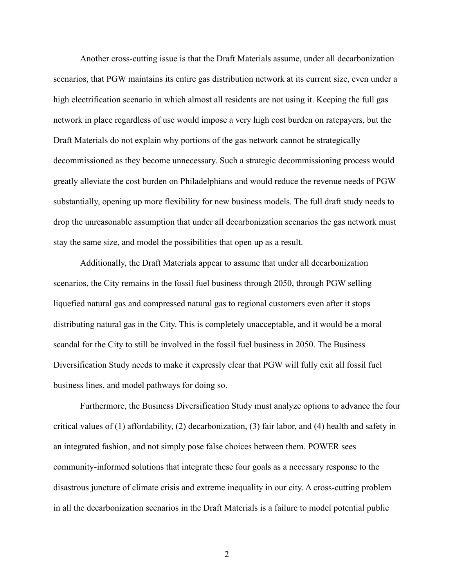Another cross-cutting issue is that the Draft Materials assume, under all decarbonization scenarios, that PGW maintains its entire gas distribution network at its current size, even under a high electrification scenario in which almost all residents are not using it. Keeping the full gas network in place regardless of use would impose a very high cost burden on ratepayers, but the Draft Materials do not explain why portions of the gas network cannot be strategically decommissioned as they become unnecessary. Such a strategic decommissioning process would greatly alleviate the cost burden on Philadelphians and would reduce the revenue needs of PGW substantially, opening up more flexibility for new business models. The full draft study needs to drop the unreasonable assumption that under all decarbonization scenarios the gas network must stay the same size, and model the possibilities that open up as a result.

Additionally, the Draft Materials appear to assume that under all decarbonization scenarios, the City remains in the fossil fuel business through 2050, through PGW selling liquefied natural gas and compressed natural gas to regional customers even after it stops distributing natural gas in the City. This is completely unacceptable, and it would be a moral scandal for the City to still be involved in the fossil fuel business in 2050. The Business Diversification Study needs to make it expressly clear that PGW will fully exit all fossil fuel business lines, and model pathways for doing so.

Furthermore, the Business Diversification Study must analyze options to advance the four critical values of (1) affordability, (2) decarbonization, (3) fair labor, and (4) health and safety in an integrated fashion, and not simply pose false choices between them. POWER sees community-informed solutions that integrate these four goals as a necessary response to the disastrous juncture of climate crisis and extreme inequality in our city. A cross-cutting problem in all the decarbonization scenarios in the Draft Materials is a failure to model potential public

2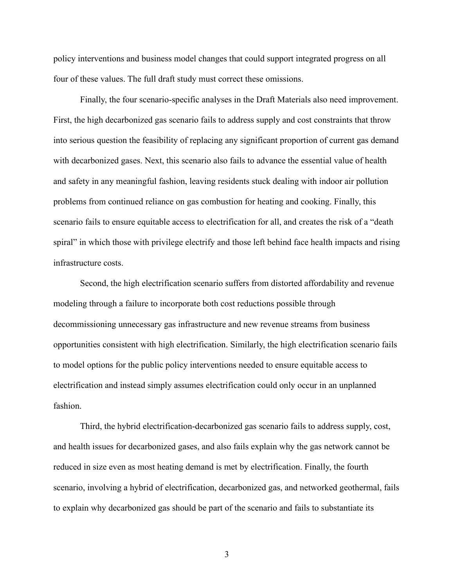policy interventions and business model changes that could support integrated progress on all four of these values. The full draft study must correct these omissions.

Finally, the four scenario-specific analyses in the Draft Materials also need improvement. First, the high decarbonized gas scenario fails to address supply and cost constraints that throw into serious question the feasibility of replacing any significant proportion of current gas demand with decarbonized gases. Next, this scenario also fails to advance the essential value of health and safety in any meaningful fashion, leaving residents stuck dealing with indoor air pollution problems from continued reliance on gas combustion for heating and cooking. Finally, this scenario fails to ensure equitable access to electrification for all, and creates the risk of a "death spiral" in which those with privilege electrify and those left behind face health impacts and rising infrastructure costs.

Second, the high electrification scenario suffers from distorted affordability and revenue modeling through a failure to incorporate both cost reductions possible through decommissioning unnecessary gas infrastructure and new revenue streams from business opportunities consistent with high electrification. Similarly, the high electrification scenario fails to model options for the public policy interventions needed to ensure equitable access to electrification and instead simply assumes electrification could only occur in an unplanned fashion.

Third, the hybrid electrification-decarbonized gas scenario fails to address supply, cost, and health issues for decarbonized gases, and also fails explain why the gas network cannot be reduced in size even as most heating demand is met by electrification. Finally, the fourth scenario, involving a hybrid of electrification, decarbonized gas, and networked geothermal, fails to explain why decarbonized gas should be part of the scenario and fails to substantiate its

3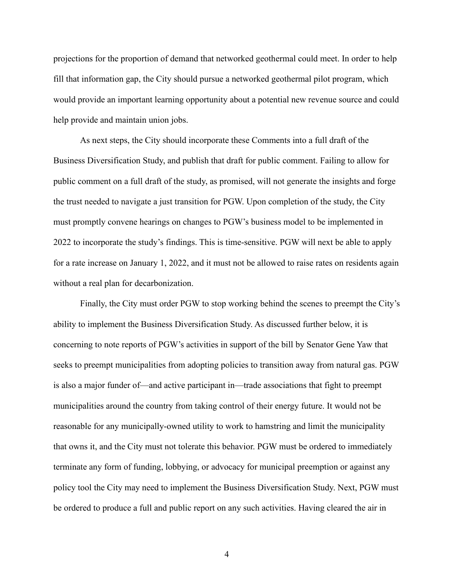projections for the proportion of demand that networked geothermal could meet. In order to help fill that information gap, the City should pursue a networked geothermal pilot program, which would provide an important learning opportunity about a potential new revenue source and could help provide and maintain union jobs.

As next steps, the City should incorporate these Comments into a full draft of the Business Diversification Study, and publish that draft for public comment. Failing to allow for public comment on a full draft of the study, as promised, will not generate the insights and forge the trust needed to navigate a just transition for PGW. Upon completion of the study, the City must promptly convene hearings on changes to PGW's business model to be implemented in 2022 to incorporate the study's findings. This is time-sensitive. PGW will next be able to apply for a rate increase on January 1, 2022, and it must not be allowed to raise rates on residents again without a real plan for decarbonization.

Finally, the City must order PGW to stop working behind the scenes to preempt the City's ability to implement the Business Diversification Study. As discussed further below, it is concerning to note reports of PGW's activities in support of the bill by Senator Gene Yaw that seeks to preempt municipalities from adopting policies to transition away from natural gas. PGW is also a major funder of—and active participant in—trade associations that fight to preempt municipalities around the country from taking control of their energy future. It would not be reasonable for any municipally-owned utility to work to hamstring and limit the municipality that owns it, and the City must not tolerate this behavior. PGW must be ordered to immediately terminate any form of funding, lobbying, or advocacy for municipal preemption or against any policy tool the City may need to implement the Business Diversification Study. Next, PGW must be ordered to produce a full and public report on any such activities. Having cleared the air in

4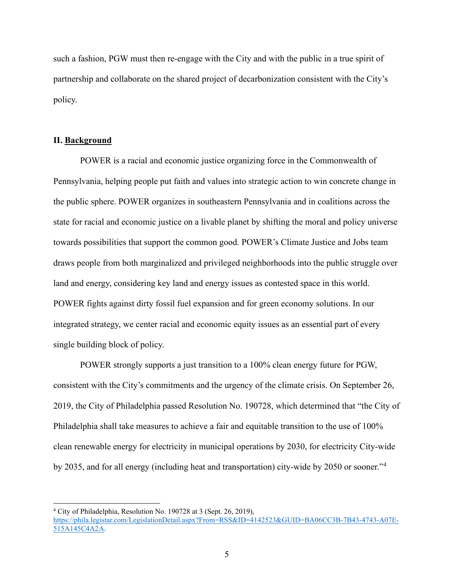such a fashion, PGW must then re-engage with the City and with the public in a true spirit of partnership and collaborate on the shared project of decarbonization consistent with the City's policy.

#### <span id="page-8-0"></span>**II. Background**

POWER is a racial and economic justice organizing force in the Commonwealth of Pennsylvania, helping people put faith and values into strategic action to win concrete change in the public sphere. POWER organizes in southeastern Pennsylvania and in coalitions across the state for racial and economic justice on a livable planet by shifting the moral and policy universe towards possibilities that support the common good. POWER's Climate Justice and Jobs team draws people from both marginalized and privileged neighborhoods into the public struggle over land and energy, considering key land and energy issues as contested space in this world. POWER fights against dirty fossil fuel expansion and for green economy solutions. In our integrated strategy, we center racial and economic equity issues as an essential part of every single building block of policy.

POWER strongly supports a just transition to a 100% clean energy future for PGW, consistent with the City's commitments and the urgency of the climate crisis. On September 26, 2019, the City of Philadelphia passed Resolution No. 190728, which determined that "the City of Philadelphia shall take measures to achieve a fair and equitable transition to the use of 100% clean renewable energy for electricity in municipal operations by 2030, for electricity City-wide by 2035, and for all energy (including heat and transportation) city-wide by 2050 or sooner."[4](#page-8-1)

<span id="page-8-1"></span><sup>4</sup> City of Philadelphia, Resolution No. 190728 at 3 (Sept. 26, 2019),

[https://phila.legistar.com/LegislationDetail.aspx?From=RSS&ID=4142523&GUID=BA06CC3B-7B43-4743-A07E-](https://phila.legistar.com/LegislationDetail.aspx?From=RSS&ID=4142523&GUID=BA06CC3B-7B43-4743-A07E-515A145C4A2A)[515A145C4A2A.](https://phila.legistar.com/LegislationDetail.aspx?From=RSS&ID=4142523&GUID=BA06CC3B-7B43-4743-A07E-515A145C4A2A)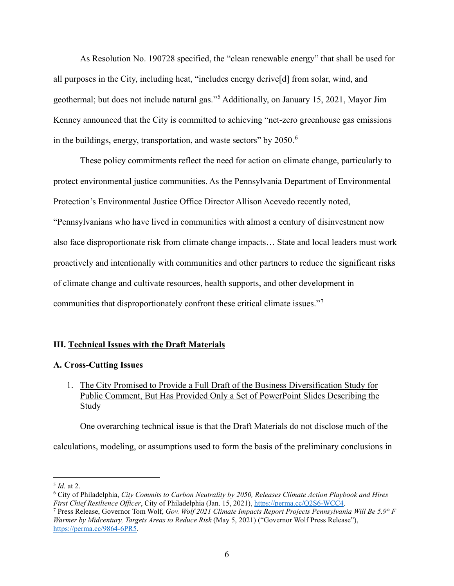As Resolution No. 190728 specified, the "clean renewable energy" that shall be used for all purposes in the City, including heat, "includes energy derive[d] from solar, wind, and geothermal; but does not include natural gas."[5](#page-9-3) Additionally, on January 15, 2021, Mayor Jim Kenney announced that the City is committed to achieving "net-zero greenhouse gas emissions in the buildings, energy, transportation, and waste sectors" by 2050.<sup>[6](#page-9-4)</sup>

These policy commitments reflect the need for action on climate change, particularly to protect environmental justice communities. As the Pennsylvania Department of Environmental Protection's Environmental Justice Office Director Allison Acevedo recently noted, "Pennsylvanians who have lived in communities with almost a century of disinvestment now also face disproportionate risk from climate change impacts… State and local leaders must work proactively and intentionally with communities and other partners to reduce the significant risks of climate change and cultivate resources, health supports, and other development in communities that disproportionately confront these critical climate issues."[7](#page-9-5)

## <span id="page-9-0"></span>**III. Technical Issues with the Draft Materials**

## <span id="page-9-1"></span>**A. Cross-Cutting Issues**

<span id="page-9-2"></span>1. The City Promised to Provide a Full Draft of the Business Diversification Study for Public Comment, But Has Provided Only a Set of PowerPoint Slides Describing the Study

One overarching technical issue is that the Draft Materials do not disclose much of the

calculations, modeling, or assumptions used to form the basis of the preliminary conclusions in

<span id="page-9-4"></span><span id="page-9-3"></span><sup>&</sup>lt;sup>5</sup> *Id.* at 2.<br><sup>6</sup> City of Philadelphia, *City Commits to Carbon Neutrality by 2050, Releases Climate Action Playbook and Hires First Chief Resilience Officer*, City of Philadelphia (Jan. 15, 2021), [https://perma.cc/Q2S6-WCC4.](https://perma.cc/Q2S6-WCC4) *7* Press Release, Governor Tom Wolf, *Gov. Wolf 2021 Climate Impacts Report Projects Pennsylvania Will Be 5.9° F* 

<span id="page-9-5"></span>*Warmer by Midcentury, Targets Areas to Reduce Risk* (May 5, 2021) ("Governor Wolf Press Release"), [https://perma.cc/9864-6PR5.](https://perma.cc/9864-6PR5)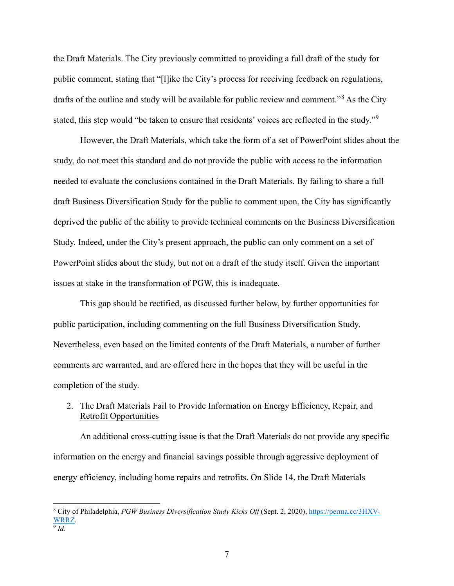the Draft Materials. The City previously committed to providing a full draft of the study for public comment, stating that "[l]ike the City's process for receiving feedback on regulations, drafts of the outline and study will be available for public review and comment."[8](#page-10-1) As the City stated, this step would "be taken to ensure that residents' voices are reflected in the study."[9](#page-10-2)

However, the Draft Materials, which take the form of a set of PowerPoint slides about the study, do not meet this standard and do not provide the public with access to the information needed to evaluate the conclusions contained in the Draft Materials. By failing to share a full draft Business Diversification Study for the public to comment upon, the City has significantly deprived the public of the ability to provide technical comments on the Business Diversification Study. Indeed, under the City's present approach, the public can only comment on a set of PowerPoint slides about the study, but not on a draft of the study itself. Given the important issues at stake in the transformation of PGW, this is inadequate.

This gap should be rectified, as discussed further below, by further opportunities for public participation, including commenting on the full Business Diversification Study. Nevertheless, even based on the limited contents of the Draft Materials, a number of further comments are warranted, and are offered here in the hopes that they will be useful in the completion of the study.

## <span id="page-10-0"></span>2. The Draft Materials Fail to Provide Information on Energy Efficiency, Repair, and Retrofit Opportunities

An additional cross-cutting issue is that the Draft Materials do not provide any specific information on the energy and financial savings possible through aggressive deployment of energy efficiency, including home repairs and retrofits. On Slide 14, the Draft Materials

<span id="page-10-2"></span><span id="page-10-1"></span><sup>8</sup> City of Philadelphia, *PGW Business Diversification Study Kicks Off* (Sept. 2, 2020)[, https://perma.cc/3HXV-](https://perma.cc/3HXV-WRRZ)[WRRZ.](https://perma.cc/3HXV-WRRZ) <sup>9</sup> *Id.*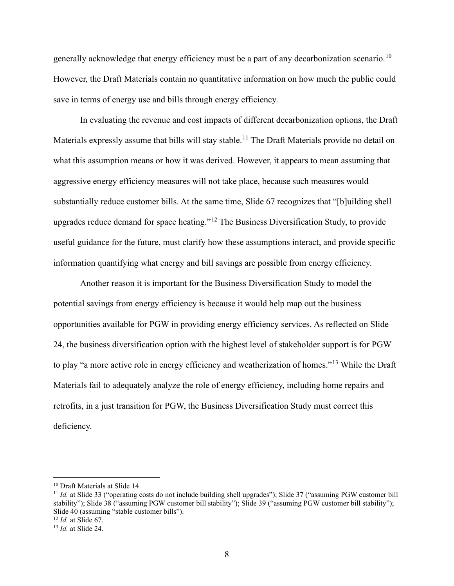generally acknowledge that energy efficiency must be a part of any decarbonization scenario.<sup>[10](#page-11-0)</sup> However, the Draft Materials contain no quantitative information on how much the public could save in terms of energy use and bills through energy efficiency.

In evaluating the revenue and cost impacts of different decarbonization options, the Draft Materials expressly assume that bills will stay stable.<sup>[11](#page-11-1)</sup> The Draft Materials provide no detail on what this assumption means or how it was derived. However, it appears to mean assuming that aggressive energy efficiency measures will not take place, because such measures would substantially reduce customer bills. At the same time, Slide 67 recognizes that "[b]uilding shell upgrades reduce demand for space heating."[12](#page-11-2) The Business Diversification Study, to provide useful guidance for the future, must clarify how these assumptions interact, and provide specific information quantifying what energy and bill savings are possible from energy efficiency.

Another reason it is important for the Business Diversification Study to model the potential savings from energy efficiency is because it would help map out the business opportunities available for PGW in providing energy efficiency services. As reflected on Slide 24, the business diversification option with the highest level of stakeholder support is for PGW to play "a more active role in energy efficiency and weatherization of homes."[13](#page-11-3) While the Draft Materials fail to adequately analyze the role of energy efficiency, including home repairs and retrofits, in a just transition for PGW, the Business Diversification Study must correct this deficiency.

<span id="page-11-1"></span><span id="page-11-0"></span><sup>&</sup>lt;sup>10</sup> Draft Materials at Slide 14.<br><sup>11</sup> *Id.* at Slide 33 ("operating costs do not include building shell upgrades"); Slide 37 ("assuming PGW customer bill stability"); Slide 38 ("assuming PGW customer bill stability"); Slide 39 ("assuming PGW customer bill stability"); Slide 40 (assuming "stable customer bills"). 12 *Id.* at Slide 67.

<span id="page-11-2"></span>

<span id="page-11-3"></span><sup>13</sup> *Id.* at Slide 24.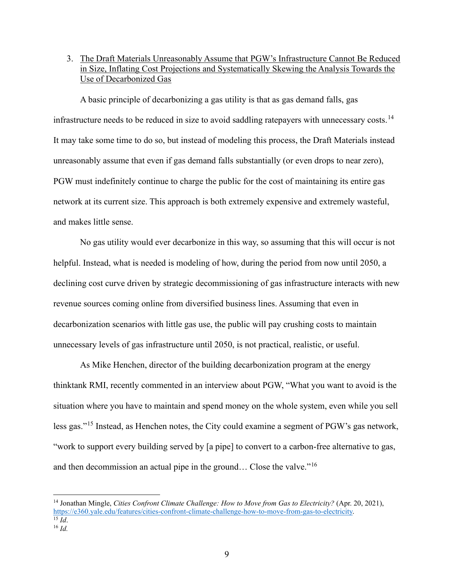<span id="page-12-0"></span>3. The Draft Materials Unreasonably Assume that PGW's Infrastructure Cannot Be Reduced in Size, Inflating Cost Projections and Systematically Skewing the Analysis Towards the Use of Decarbonized Gas

A basic principle of decarbonizing a gas utility is that as gas demand falls, gas infrastructure needs to be reduced in size to avoid saddling ratepayers with unnecessary costs.<sup>[14](#page-12-1)</sup> It may take some time to do so, but instead of modeling this process, the Draft Materials instead unreasonably assume that even if gas demand falls substantially (or even drops to near zero), PGW must indefinitely continue to charge the public for the cost of maintaining its entire gas network at its current size. This approach is both extremely expensive and extremely wasteful, and makes little sense.

No gas utility would ever decarbonize in this way, so assuming that this will occur is not helpful. Instead, what is needed is modeling of how, during the period from now until 2050, a declining cost curve driven by strategic decommissioning of gas infrastructure interacts with new revenue sources coming online from diversified business lines. Assuming that even in decarbonization scenarios with little gas use, the public will pay crushing costs to maintain unnecessary levels of gas infrastructure until 2050, is not practical, realistic, or useful.

As Mike Henchen, director of the building decarbonization program at the energy thinktank RMI, recently commented in an interview about PGW, "What you want to avoid is the situation where you have to maintain and spend money on the whole system, even while you sell less gas."[15](#page-12-2) Instead, as Henchen notes, the City could examine a segment of PGW's gas network, "work to support every building served by [a pipe] to convert to a carbon-free alternative to gas, and then decommission an actual pipe in the ground… Close the valve."[16](#page-12-3)

<span id="page-12-1"></span><sup>14</sup> Jonathan Mingle, *Cities Confront Climate Challenge: How to Move from Gas to Electricity?* (Apr. 20, 2021), [https://e360.yale.edu/features/cities-confront-climate-challenge-how-to-move-from-gas-to-electricity.](https://e360.yale.edu/features/cities-confront-climate-challenge-how-to-move-from-gas-to-electricity) <sup>15</sup> *Id*.

<span id="page-12-3"></span><span id="page-12-2"></span><sup>16</sup> *Id.*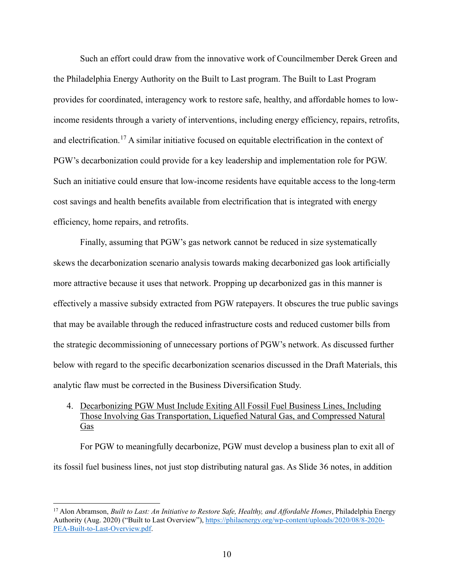Such an effort could draw from the innovative work of Councilmember Derek Green and the Philadelphia Energy Authority on the Built to Last program. The Built to Last Program provides for coordinated, interagency work to restore safe, healthy, and affordable homes to lowincome residents through a variety of interventions, including energy efficiency, repairs, retrofits, and electrification.<sup>[17](#page-13-1)</sup> A similar initiative focused on equitable electrification in the context of PGW's decarbonization could provide for a key leadership and implementation role for PGW. Such an initiative could ensure that low-income residents have equitable access to the long-term cost savings and health benefits available from electrification that is integrated with energy efficiency, home repairs, and retrofits.

Finally, assuming that PGW's gas network cannot be reduced in size systematically skews the decarbonization scenario analysis towards making decarbonized gas look artificially more attractive because it uses that network. Propping up decarbonized gas in this manner is effectively a massive subsidy extracted from PGW ratepayers. It obscures the true public savings that may be available through the reduced infrastructure costs and reduced customer bills from the strategic decommissioning of unnecessary portions of PGW's network. As discussed further below with regard to the specific decarbonization scenarios discussed in the Draft Materials, this analytic flaw must be corrected in the Business Diversification Study.

<span id="page-13-0"></span>4. Decarbonizing PGW Must Include Exiting All Fossil Fuel Business Lines, Including Those Involving Gas Transportation, Liquefied Natural Gas, and Compressed Natural Gas

For PGW to meaningfully decarbonize, PGW must develop a business plan to exit all of its fossil fuel business lines, not just stop distributing natural gas. As Slide 36 notes, in addition

<span id="page-13-1"></span><sup>17</sup> Alon Abramson, *Built to Last: An Initiative to Restore Safe, Healthy, and Affordable Homes*, Philadelphia Energy Authority (Aug. 2020) ("Built to Last Overview"), [https://philaenergy.org/wp-content/uploads/2020/08/8-2020-](https://philaenergy.org/wp-content/uploads/2020/08/8-2020-PEA-Built-to-Last-Overview.pdf) [PEA-Built-to-Last-Overview.pdf.](https://philaenergy.org/wp-content/uploads/2020/08/8-2020-PEA-Built-to-Last-Overview.pdf)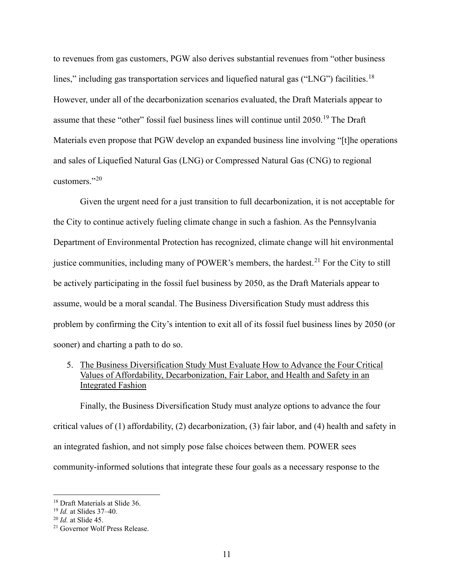to revenues from gas customers, PGW also derives substantial revenues from "other business lines," including gas transportation services and liquefied natural gas ("LNG") facilities.<sup>[18](#page-14-1)</sup> However, under all of the decarbonization scenarios evaluated, the Draft Materials appear to assume that these "other" fossil fuel business lines will continue until 2050.<sup>[19](#page-14-2)</sup> The Draft Materials even propose that PGW develop an expanded business line involving "[t]he operations and sales of Liquefied Natural Gas (LNG) or Compressed Natural Gas (CNG) to regional customers."[20](#page-14-3)

Given the urgent need for a just transition to full decarbonization, it is not acceptable for the City to continue actively fueling climate change in such a fashion. As the Pennsylvania Department of Environmental Protection has recognized, climate change will hit environmental justice communities, including many of POWER's members, the hardest.<sup>[21](#page-14-4)</sup> For the City to still be actively participating in the fossil fuel business by 2050, as the Draft Materials appear to assume, would be a moral scandal. The Business Diversification Study must address this problem by confirming the City's intention to exit all of its fossil fuel business lines by 2050 (or sooner) and charting a path to do so.

## <span id="page-14-0"></span>5. The Business Diversification Study Must Evaluate How to Advance the Four Critical Values of Affordability, Decarbonization, Fair Labor, and Health and Safety in an Integrated Fashion

Finally, the Business Diversification Study must analyze options to advance the four critical values of (1) affordability, (2) decarbonization, (3) fair labor, and (4) health and safety in an integrated fashion, and not simply pose false choices between them. POWER sees community-informed solutions that integrate these four goals as a necessary response to the

<span id="page-14-1"></span><sup>&</sup>lt;sup>18</sup> Draft Materials at Slide 36.<br><sup>19</sup> *Id.* at Slides 37–40.<br><sup>20</sup> *Id.* at Slide 45.<br><sup>21</sup> Governor Wolf Press Release.

<span id="page-14-2"></span>

<span id="page-14-3"></span>

<span id="page-14-4"></span>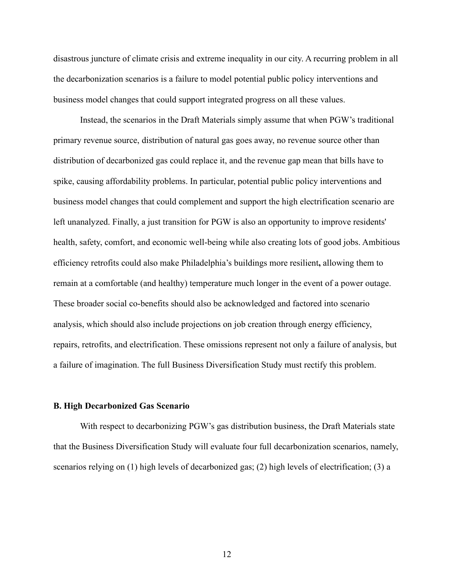disastrous juncture of climate crisis and extreme inequality in our city. A recurring problem in all the decarbonization scenarios is a failure to model potential public policy interventions and business model changes that could support integrated progress on all these values.

Instead, the scenarios in the Draft Materials simply assume that when PGW's traditional primary revenue source, distribution of natural gas goes away, no revenue source other than distribution of decarbonized gas could replace it, and the revenue gap mean that bills have to spike, causing affordability problems. In particular, potential public policy interventions and business model changes that could complement and support the high electrification scenario are left unanalyzed. Finally, a just transition for PGW is also an opportunity to improve residents' health, safety, comfort, and economic well-being while also creating lots of good jobs. Ambitious efficiency retrofits could also make Philadelphia's buildings more resilient**,** allowing them to remain at a comfortable (and healthy) temperature much longer in the event of a power outage. These broader social co-benefits should also be acknowledged and factored into scenario analysis, which should also include projections on job creation through energy efficiency, repairs, retrofits, and electrification. These omissions represent not only a failure of analysis, but a failure of imagination. The full Business Diversification Study must rectify this problem.

#### <span id="page-15-0"></span>**B. High Decarbonized Gas Scenario**

With respect to decarbonizing PGW's gas distribution business, the Draft Materials state that the Business Diversification Study will evaluate four full decarbonization scenarios, namely, scenarios relying on (1) high levels of decarbonized gas; (2) high levels of electrification; (3) a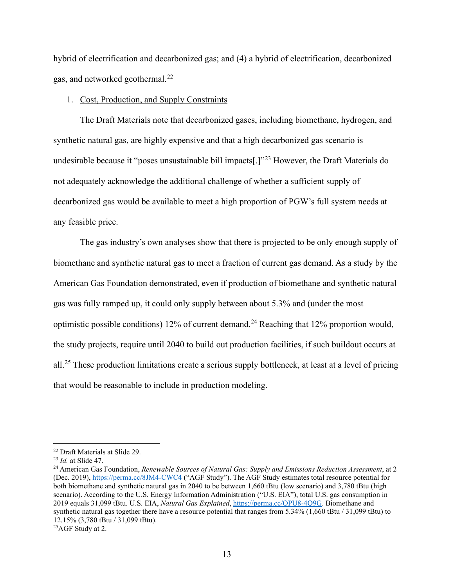hybrid of electrification and decarbonized gas; and (4) a hybrid of electrification, decarbonized gas, and networked geothermal. [22](#page-16-1)

#### <span id="page-16-0"></span>1. Cost, Production, and Supply Constraints

The Draft Materials note that decarbonized gases, including biomethane, hydrogen, and synthetic natural gas, are highly expensive and that a high decarbonized gas scenario is undesirable because it "poses unsustainable bill impacts<sup>[1]</sup><sup>[23](#page-16-2)</sup> However, the Draft Materials do not adequately acknowledge the additional challenge of whether a sufficient supply of decarbonized gas would be available to meet a high proportion of PGW's full system needs at any feasible price.

The gas industry's own analyses show that there is projected to be only enough supply of biomethane and synthetic natural gas to meet a fraction of current gas demand. As a study by the American Gas Foundation demonstrated, even if production of biomethane and synthetic natural gas was fully ramped up, it could only supply between about 5.3% and (under the most optimistic possible conditions) 12% of current demand.<sup>[24](#page-16-3)</sup> Reaching that 12% proportion would, the study projects, require until 2040 to build out production facilities, if such buildout occurs at all.<sup>[25](#page-16-4)</sup> These production limitations create a serious supply bottleneck, at least at a level of pricing that would be reasonable to include in production modeling.

<span id="page-16-3"></span><span id="page-16-2"></span>

<span id="page-16-1"></span><sup>&</sup>lt;sup>22</sup> Draft Materials at Slide 29.<br><sup>23</sup> *Id.* at Slide 47.<br><sup>24</sup> American Gas Foundation, *Renewable Sources of Natural Gas: Supply and Emissions Reduction Assessment*, at 2 (Dec. 2019), <https://perma.cc/8JM4-CWC4> ("AGF Study"). The AGF Study estimates total resource potential for both biomethane and synthetic natural gas in 2040 to be between 1,660 tBtu (low scenario) and 3,780 tBtu (high scenario). According to the U.S. Energy Information Administration ("U.S. EIA"), total U.S. gas consumption in 2019 equals 31,099 tBtu. U.S. EIA, *Natural Gas Explained*[, https://perma.cc/QPU8-4Q9G.](https://perma.cc/QPU8-4Q9G) Biomethane and synthetic natural gas together there have a resource potential that ranges from 5.34% (1,660 tBtu / 31,099 tBtu) to 12.15% (3,780 tBtu / 31,099 tBtu).

<span id="page-16-4"></span><sup>&</sup>lt;sup>25</sup>AGF Study at 2.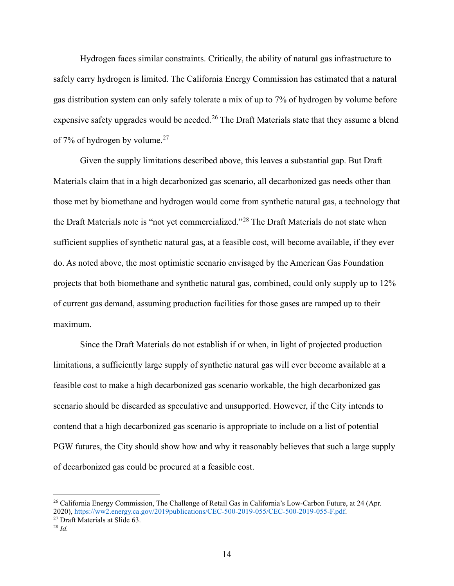Hydrogen faces similar constraints. Critically, the ability of natural gas infrastructure to safely carry hydrogen is limited. The California Energy Commission has estimated that a natural gas distribution system can only safely tolerate a mix of up to 7% of hydrogen by volume before expensive safety upgrades would be needed.<sup>[26](#page-17-0)</sup> The Draft Materials state that they assume a blend of 7% of hydrogen by volume.<sup>[27](#page-17-1)</sup>

Given the supply limitations described above, this leaves a substantial gap. But Draft Materials claim that in a high decarbonized gas scenario, all decarbonized gas needs other than those met by biomethane and hydrogen would come from synthetic natural gas, a technology that the Draft Materials note is "not yet commercialized."<sup>[28](#page-17-2)</sup> The Draft Materials do not state when sufficient supplies of synthetic natural gas, at a feasible cost, will become available, if they ever do. As noted above, the most optimistic scenario envisaged by the American Gas Foundation projects that both biomethane and synthetic natural gas, combined, could only supply up to 12% of current gas demand, assuming production facilities for those gases are ramped up to their maximum.

Since the Draft Materials do not establish if or when, in light of projected production limitations, a sufficiently large supply of synthetic natural gas will ever become available at a feasible cost to make a high decarbonized gas scenario workable, the high decarbonized gas scenario should be discarded as speculative and unsupported. However, if the City intends to contend that a high decarbonized gas scenario is appropriate to include on a list of potential PGW futures, the City should show how and why it reasonably believes that such a large supply of decarbonized gas could be procured at a feasible cost.

<span id="page-17-1"></span><sup>27</sup> Draft Materials at Slide 63. 28 *Id.*

<span id="page-17-0"></span><sup>&</sup>lt;sup>26</sup> California Energy Commission, The Challenge of Retail Gas in California's Low-Carbon Future, at 24 (Apr. 2020), [https://ww2.energy.ca.gov/2019publications/CEC-500-2019-055/CEC-500-2019-055-F.pdf.](https://ww2.energy.ca.gov/2019publications/CEC-500-2019-055/CEC-500-2019-055-F.pdf)

<span id="page-17-2"></span>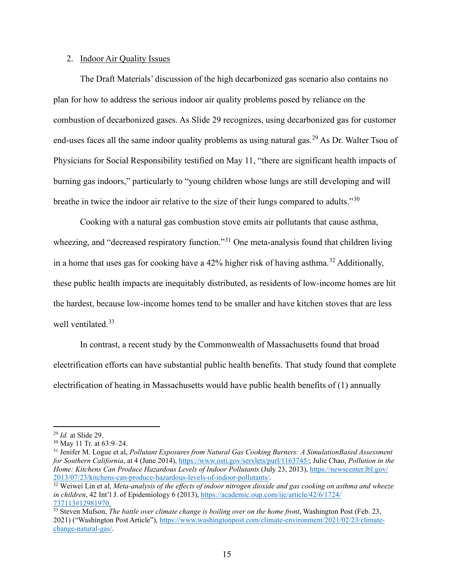#### <span id="page-18-0"></span>2. Indoor Air Quality Issues

The Draft Materials' discussion of the high decarbonized gas scenario also contains no plan for how to address the serious indoor air quality problems posed by reliance on the combustion of decarbonized gases. As Slide 29 recognizes, using decarbonized gas for customer end-uses faces all the same indoor quality problems as using natural gas.<sup>[29](#page-18-1)</sup> As Dr. Walter Tsou of Physicians for Social Responsibility testified on May 11, "there are significant health impacts of burning gas indoors," particularly to "young children whose lungs are still developing and will breathe in twice the indoor air relative to the size of their lungs compared to adults."[30](#page-18-2)

Cooking with a natural gas combustion stove emits air pollutants that cause asthma, wheezing, and "decreased respiratory function."<sup>[31](#page-18-3)</sup> One meta-analysis found that children living in a home that uses gas for cooking have a 42% higher risk of having asthma.<sup>[32](#page-18-4)</sup> Additionally, these public health impacts are inequitably distributed, as residents of low-income homes are hit the hardest, because low-income homes tend to be smaller and have kitchen stoves that are less well ventilated.<sup>[33](#page-18-5)</sup>

In contrast, a recent study by the Commonwealth of Massachusetts found that broad electrification efforts can have substantial public health benefits. That study found that complete electrification of heating in Massachusetts would have public health benefits of (1) annually

<span id="page-18-1"></span><sup>&</sup>lt;sup>29</sup> *Id.* at Slide 29.<br><sup>30</sup> May 11 Tr. at 63:9–24.

<span id="page-18-3"></span><span id="page-18-2"></span><sup>31</sup> Jenifer M. Logue et al, *Pollutant Exposures from Natural Gas Cooking Burners: A SimulationBased Assessment for Southern California*, at 4 (June 2014), [https://www.osti.gov/servlets/purl/1163745/;](https://www.osti.gov/servlets/purl/1163745/) Julie Chao, *Pollution in the Home: Kitchens Can Produce Hazardous Levels of Indoor Pollutants* (July 23, 2013), [https://newscenter.lbl.gov/](https://newscenter.lbl.gov/%202013/07/23/kitchens-can-produce-hazardous-levels-of-indoor-pollutants/) [2013/07/23/kitchens-can-produce-hazardous-levels-of-indoor-pollutants/.](https://newscenter.lbl.gov/%202013/07/23/kitchens-can-produce-hazardous-levels-of-indoor-pollutants/)

<span id="page-18-4"></span><sup>&</sup>lt;sup>32</sup> Weiwei Lin et al, *Meta-analysis of the effects of indoor nitrogen dioxide and gas cooking on asthma and wheeze in children*, 42 Int'l J. of Epidemiology 6 (2013), [https://academic.oup.com/ije/article/42/6/1724/](https://academic.oup.com/ije/article/42/6/1724/%20737113#12981970) [737113#12981970.](https://academic.oup.com/ije/article/42/6/1724/%20737113#12981970)

<span id="page-18-5"></span><sup>&</sup>lt;sup>33</sup> Steven Mufson, *The battle over climate change is boiling over on the home front*, Washington Post (Feb. 23, 2021) ("Washington Post Article"), [https://www.washingtonpost.com/climate-environment/2021/02/23/climate](https://www.washingtonpost.com/climate-environment/2021/02/23/climate-change-natural-gas/)[change-natural-gas/.](https://www.washingtonpost.com/climate-environment/2021/02/23/climate-change-natural-gas/)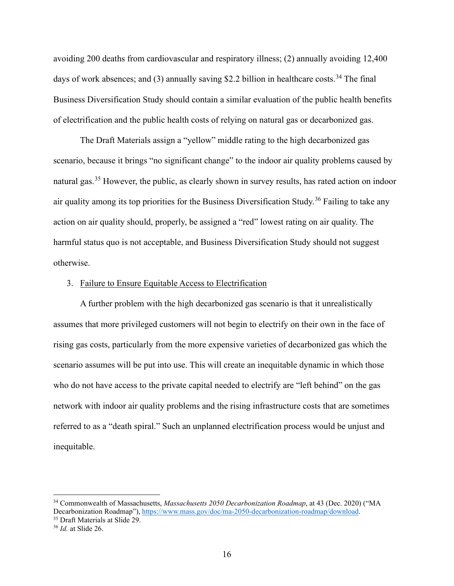avoiding 200 deaths from cardiovascular and respiratory illness; (2) annually avoiding 12,400 days of work absences; and (3) annually saving \$2.2 billion in healthcare costs.<sup>[34](#page-19-1)</sup> The final Business Diversification Study should contain a similar evaluation of the public health benefits of electrification and the public health costs of relying on natural gas or decarbonized gas.

The Draft Materials assign a "yellow" middle rating to the high decarbonized gas scenario, because it brings "no significant change" to the indoor air quality problems caused by natural gas.[35](#page-19-2) However, the public, as clearly shown in survey results, has rated action on indoor air quality among its top priorities for the Business Diversification Study.<sup>[36](#page-19-3)</sup> Failing to take any action on air quality should, properly, be assigned a "red" lowest rating on air quality. The harmful status quo is not acceptable, and Business Diversification Study should not suggest otherwise.

#### <span id="page-19-0"></span>3. Failure to Ensure Equitable Access to Electrification

A further problem with the high decarbonized gas scenario is that it unrealistically assumes that more privileged customers will not begin to electrify on their own in the face of rising gas costs, particularly from the more expensive varieties of decarbonized gas which the scenario assumes will be put into use. This will create an inequitable dynamic in which those who do not have access to the private capital needed to electrify are "left behind" on the gas network with indoor air quality problems and the rising infrastructure costs that are sometimes referred to as a "death spiral." Such an unplanned electrification process would be unjust and inequitable.

<span id="page-19-1"></span><sup>34</sup> Commonwealth of Massachusetts, *Massachusetts 2050 Decarbonization Roadmap*, at 43 (Dec. 2020) ("MA Decarbonization Roadmap")[, https://www.mass.gov/doc/ma-2050-decarbonization-roadmap/download.](https://www.mass.gov/doc/ma-2050-decarbonization-roadmap/download)

<span id="page-19-3"></span><span id="page-19-2"></span><sup>35</sup> Draft Materials at Slide 29. 36 *Id.* at Slide 26.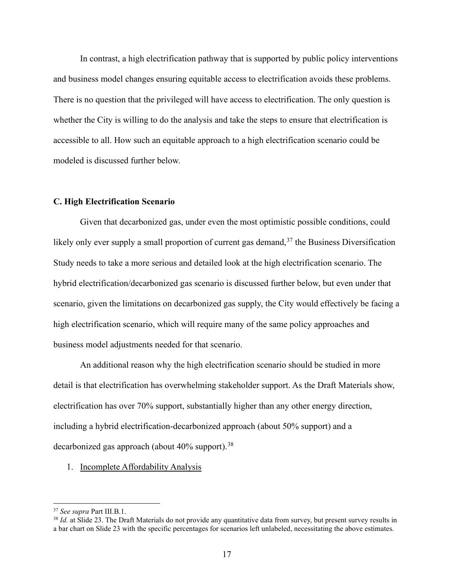In contrast, a high electrification pathway that is supported by public policy interventions and business model changes ensuring equitable access to electrification avoids these problems. There is no question that the privileged will have access to electrification. The only question is whether the City is willing to do the analysis and take the steps to ensure that electrification is accessible to all. How such an equitable approach to a high electrification scenario could be modeled is discussed further below.

#### <span id="page-20-0"></span>**C. High Electrification Scenario**

Given that decarbonized gas, under even the most optimistic possible conditions, could likely only ever supply a small proportion of current gas demand,  $37$  the Business Diversification Study needs to take a more serious and detailed look at the high electrification scenario. The hybrid electrification/decarbonized gas scenario is discussed further below, but even under that scenario, given the limitations on decarbonized gas supply, the City would effectively be facing a high electrification scenario, which will require many of the same policy approaches and business model adjustments needed for that scenario.

An additional reason why the high electrification scenario should be studied in more detail is that electrification has overwhelming stakeholder support. As the Draft Materials show, electrification has over 70% support, substantially higher than any other energy direction, including a hybrid electrification-decarbonized approach (about 50% support) and a decarbonized gas approach (about  $40\%$  support).<sup>[38](#page-20-3)</sup>

#### <span id="page-20-1"></span>1. Incomplete Affordability Analysis

<span id="page-20-2"></span><sup>37</sup> *See supra* Part III.B.1.

<span id="page-20-3"></span><sup>&</sup>lt;sup>38</sup> *Id.* at Slide 23. The Draft Materials do not provide any quantitative data from survey, but present survey results in a bar chart on Slide 23 with the specific percentages for scenarios left unlabeled, necessitating the above estimates.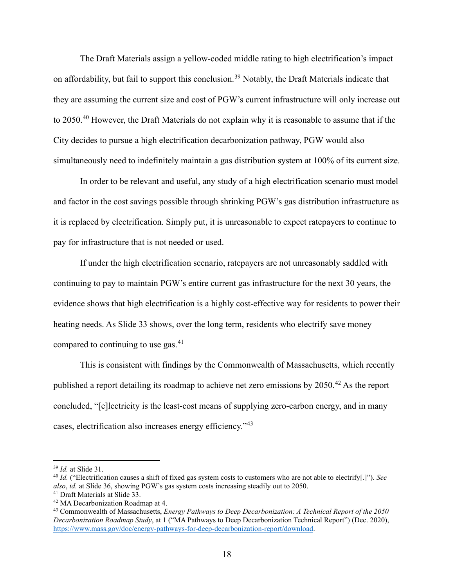The Draft Materials assign a yellow-coded middle rating to high electrification's impact on affordability, but fail to support this conclusion.<sup>[39](#page-21-0)</sup> Notably, the Draft Materials indicate that they are assuming the current size and cost of PGW's current infrastructure will only increase out to 2050.<sup>[40](#page-21-1)</sup> However, the Draft Materials do not explain why it is reasonable to assume that if the City decides to pursue a high electrification decarbonization pathway, PGW would also simultaneously need to indefinitely maintain a gas distribution system at 100% of its current size.

In order to be relevant and useful, any study of a high electrification scenario must model and factor in the cost savings possible through shrinking PGW's gas distribution infrastructure as it is replaced by electrification. Simply put, it is unreasonable to expect ratepayers to continue to pay for infrastructure that is not needed or used.

If under the high electrification scenario, ratepayers are not unreasonably saddled with continuing to pay to maintain PGW's entire current gas infrastructure for the next 30 years, the evidence shows that high electrification is a highly cost-effective way for residents to power their heating needs. As Slide 33 shows, over the long term, residents who electrify save money compared to continuing to use gas. $41$ 

This is consistent with findings by the Commonwealth of Massachusetts, which recently published a report detailing its roadmap to achieve net zero emissions by  $2050<sup>42</sup>$  $2050<sup>42</sup>$  $2050<sup>42</sup>$  As the report concluded, "[e]lectricity is the least-cost means of supplying zero-carbon energy, and in many cases, electrification also increases energy efficiency."[43](#page-21-4)

<span id="page-21-1"></span><span id="page-21-0"></span><sup>&</sup>lt;sup>39</sup> *Id.* at Slide 31.<br><sup>40</sup> *Id.* ("Electrification causes a shift of fixed gas system costs to customers who are not able to electrify[.]"). *See also*, *id.* at Slide 36, showing PGW's gas system costs increasing steadily out to 2050. 41 Draft Materials at Slide 33. 42 MA Decarbonization Roadmap at 4.

<span id="page-21-2"></span>

<span id="page-21-3"></span>

<span id="page-21-4"></span><sup>43</sup> Commonwealth of Massachusetts, *Energy Pathways to Deep Decarbonization: A Technical Report of the 2050 Decarbonization Roadmap Study*, at 1 ("MA Pathways to Deep Decarbonization Technical Report") (Dec. 2020), [https://www.mass.gov/doc/energy-pathways-for-deep-decarbonization-report/download.](https://www.mass.gov/doc/energy-pathways-for-deep-decarbonization-report/download)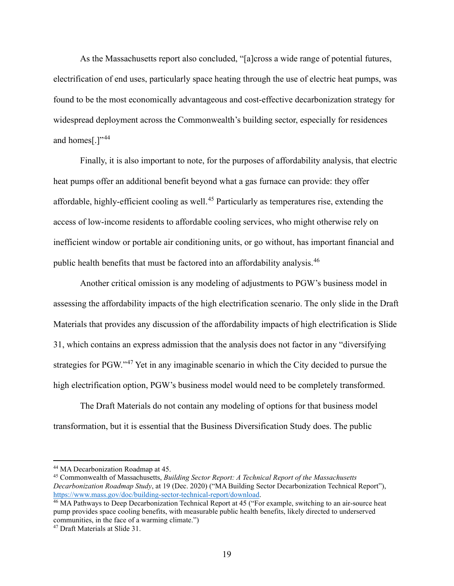As the Massachusetts report also concluded, "[a]cross a wide range of potential futures, electrification of end uses, particularly space heating through the use of electric heat pumps, was found to be the most economically advantageous and cost-effective decarbonization strategy for widespread deployment across the Commonwealth's building sector, especially for residences and homes[.]"<sup>[44](#page-22-0)</sup>

Finally, it is also important to note, for the purposes of affordability analysis, that electric heat pumps offer an additional benefit beyond what a gas furnace can provide: they offer affordable, highly-efficient cooling as well.<sup>[45](#page-22-1)</sup> Particularly as temperatures rise, extending the access of low-income residents to affordable cooling services, who might otherwise rely on inefficient window or portable air conditioning units, or go without, has important financial and public health benefits that must be factored into an affordability analysis.[46](#page-22-2)

Another critical omission is any modeling of adjustments to PGW's business model in assessing the affordability impacts of the high electrification scenario. The only slide in the Draft Materials that provides any discussion of the affordability impacts of high electrification is Slide 31, which contains an express admission that the analysis does not factor in any "diversifying strategies for PGW."[47](#page-22-3) Yet in any imaginable scenario in which the City decided to pursue the high electrification option, PGW's business model would need to be completely transformed.

The Draft Materials do not contain any modeling of options for that business model transformation, but it is essential that the Business Diversification Study does. The public

<span id="page-22-1"></span><span id="page-22-0"></span><sup>&</sup>lt;sup>44</sup> MA Decarbonization Roadmap at 45.<br><sup>45</sup> Commonwealth of Massachusetts, *Building Sector Report: A Technical Report of the Massachusetts Decarbonization Roadmap Study*, at 19 (Dec. 2020) ("MA Building Sector Decarbonization Technical Report"), [https://www.mass.gov/doc/building-sector-technical-report/download.](https://www.mass.gov/doc/building-sector-technical-report/download)

<span id="page-22-2"></span><sup>&</sup>lt;sup>46</sup> MA Pathways to Deep Decarbonization Technical Report at 45 ("For example, switching to an air-source heat pump provides space cooling benefits, with measurable public health benefits, likely directed to underserved communities, in the face of a warming climate.")

<span id="page-22-3"></span><sup>47</sup> Draft Materials at Slide 31.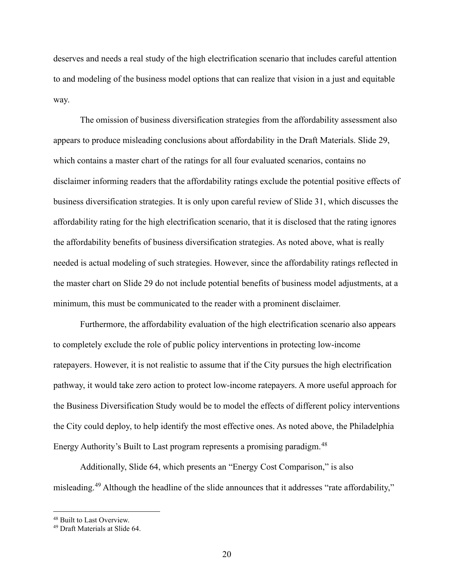deserves and needs a real study of the high electrification scenario that includes careful attention to and modeling of the business model options that can realize that vision in a just and equitable way.

The omission of business diversification strategies from the affordability assessment also appears to produce misleading conclusions about affordability in the Draft Materials. Slide 29, which contains a master chart of the ratings for all four evaluated scenarios, contains no disclaimer informing readers that the affordability ratings exclude the potential positive effects of business diversification strategies. It is only upon careful review of Slide 31, which discusses the affordability rating for the high electrification scenario, that it is disclosed that the rating ignores the affordability benefits of business diversification strategies. As noted above, what is really needed is actual modeling of such strategies. However, since the affordability ratings reflected in the master chart on Slide 29 do not include potential benefits of business model adjustments, at a minimum, this must be communicated to the reader with a prominent disclaimer.

Furthermore, the affordability evaluation of the high electrification scenario also appears to completely exclude the role of public policy interventions in protecting low-income ratepayers. However, it is not realistic to assume that if the City pursues the high electrification pathway, it would take zero action to protect low-income ratepayers. A more useful approach for the Business Diversification Study would be to model the effects of different policy interventions the City could deploy, to help identify the most effective ones. As noted above, the Philadelphia Energy Authority's Built to Last program represents a promising paradigm.<sup>[48](#page-23-0)</sup>

Additionally, Slide 64, which presents an "Energy Cost Comparison," is also misleading.[49](#page-23-1) Although the headline of the slide announces that it addresses "rate affordability,"

<span id="page-23-0"></span><sup>&</sup>lt;sup>48</sup> Built to Last Overview.

<span id="page-23-1"></span><sup>49</sup> Draft Materials at Slide 64.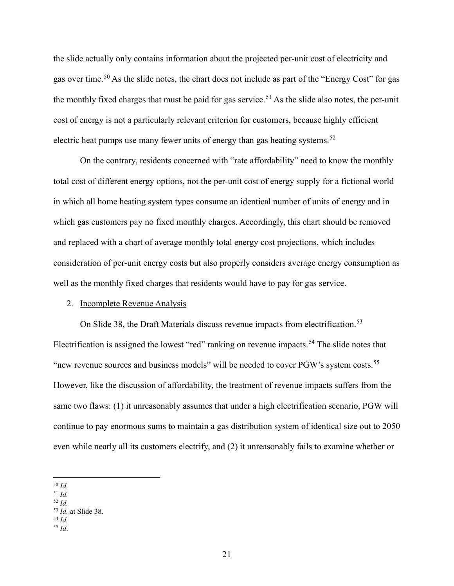the slide actually only contains information about the projected per-unit cost of electricity and gas over time.<sup>[50](#page-24-1)</sup> As the slide notes, the chart does not include as part of the "Energy Cost" for gas the monthly fixed charges that must be paid for gas service.<sup>[51](#page-24-2)</sup> As the slide also notes, the per-unit cost of energy is not a particularly relevant criterion for customers, because highly efficient electric heat pumps use many fewer units of energy than gas heating systems.<sup>[52](#page-24-3)</sup>

On the contrary, residents concerned with "rate affordability" need to know the monthly total cost of different energy options, not the per-unit cost of energy supply for a fictional world in which all home heating system types consume an identical number of units of energy and in which gas customers pay no fixed monthly charges. Accordingly, this chart should be removed and replaced with a chart of average monthly total energy cost projections, which includes consideration of per-unit energy costs but also properly considers average energy consumption as well as the monthly fixed charges that residents would have to pay for gas service.

#### <span id="page-24-0"></span>2. Incomplete Revenue Analysis

On Slide 38, the Draft Materials discuss revenue impacts from electrification.<sup>[53](#page-24-4)</sup> Electrification is assigned the lowest "red" ranking on revenue impacts.<sup>[54](#page-24-5)</sup> The slide notes that "new revenue sources and business models" will be needed to cover PGW's system costs.[55](#page-24-6) However, like the discussion of affordability, the treatment of revenue impacts suffers from the same two flaws: (1) it unreasonably assumes that under a high electrification scenario, PGW will continue to pay enormous sums to maintain a gas distribution system of identical size out to 2050 even while nearly all its customers electrify, and (2) it unreasonably fails to examine whether or

<span id="page-24-3"></span><sup>52</sup> *Id.*

<span id="page-24-6"></span><span id="page-24-5"></span><sup>55</sup> *Id*.

<span id="page-24-1"></span><sup>50</sup> *Id.*

<span id="page-24-2"></span><sup>51</sup> *Id.*

<span id="page-24-4"></span><sup>53</sup> *Id.* at Slide 38. 54 *Id.*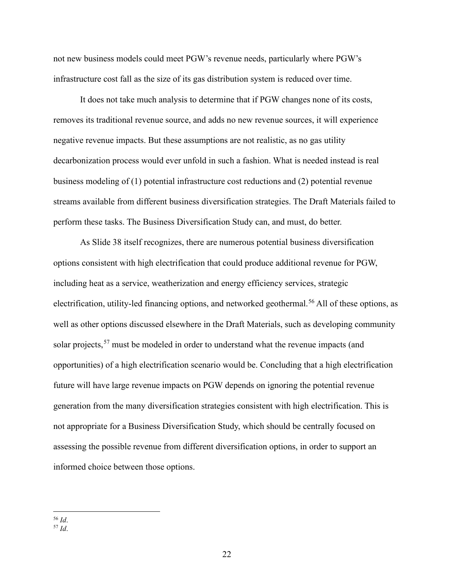not new business models could meet PGW's revenue needs, particularly where PGW's infrastructure cost fall as the size of its gas distribution system is reduced over time.

It does not take much analysis to determine that if PGW changes none of its costs, removes its traditional revenue source, and adds no new revenue sources, it will experience negative revenue impacts. But these assumptions are not realistic, as no gas utility decarbonization process would ever unfold in such a fashion. What is needed instead is real business modeling of (1) potential infrastructure cost reductions and (2) potential revenue streams available from different business diversification strategies. The Draft Materials failed to perform these tasks. The Business Diversification Study can, and must, do better.

As Slide 38 itself recognizes, there are numerous potential business diversification options consistent with high electrification that could produce additional revenue for PGW, including heat as a service, weatherization and energy efficiency services, strategic electrification, utility-led financing options, and networked geothermal.<sup>[56](#page-25-0)</sup> All of these options, as well as other options discussed elsewhere in the Draft Materials, such as developing community solar projects,<sup>[57](#page-25-1)</sup> must be modeled in order to understand what the revenue impacts (and opportunities) of a high electrification scenario would be. Concluding that a high electrification future will have large revenue impacts on PGW depends on ignoring the potential revenue generation from the many diversification strategies consistent with high electrification. This is not appropriate for a Business Diversification Study, which should be centrally focused on assessing the possible revenue from different diversification options, in order to support an informed choice between those options.

<span id="page-25-0"></span><sup>56</sup> *Id*.

<span id="page-25-1"></span> $57 \overline{Id}$ .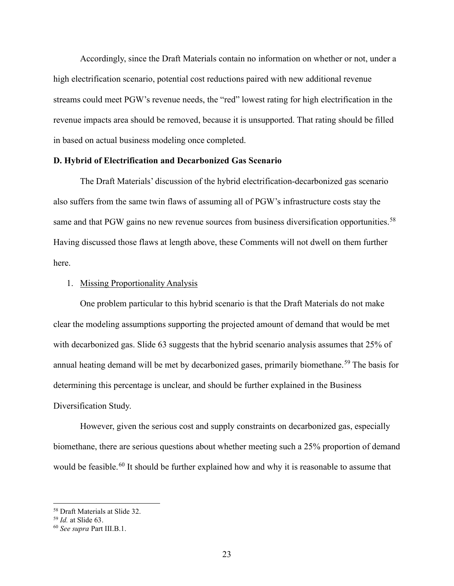Accordingly, since the Draft Materials contain no information on whether or not, under a high electrification scenario, potential cost reductions paired with new additional revenue streams could meet PGW's revenue needs, the "red" lowest rating for high electrification in the revenue impacts area should be removed, because it is unsupported. That rating should be filled in based on actual business modeling once completed.

#### <span id="page-26-0"></span>**D. Hybrid of Electrification and Decarbonized Gas Scenario**

The Draft Materials' discussion of the hybrid electrification-decarbonized gas scenario also suffers from the same twin flaws of assuming all of PGW's infrastructure costs stay the same and that PGW gains no new revenue sources from business diversification opportunities.<sup>[58](#page-26-2)</sup> Having discussed those flaws at length above, these Comments will not dwell on them further here.

#### <span id="page-26-1"></span>1. Missing Proportionality Analysis

One problem particular to this hybrid scenario is that the Draft Materials do not make clear the modeling assumptions supporting the projected amount of demand that would be met with decarbonized gas. Slide 63 suggests that the hybrid scenario analysis assumes that 25% of annual heating demand will be met by decarbonized gases, primarily biomethane.<sup>[59](#page-26-3)</sup> The basis for determining this percentage is unclear, and should be further explained in the Business Diversification Study.

However, given the serious cost and supply constraints on decarbonized gas, especially biomethane, there are serious questions about whether meeting such a 25% proportion of demand would be feasible.<sup>[60](#page-26-4)</sup> It should be further explained how and why it is reasonable to assume that

<span id="page-26-2"></span><sup>58</sup> Draft Materials at Slide 32. 59 *Id.* at Slide 63.

<span id="page-26-4"></span><span id="page-26-3"></span><sup>60</sup> *See supra* Part III.B.1.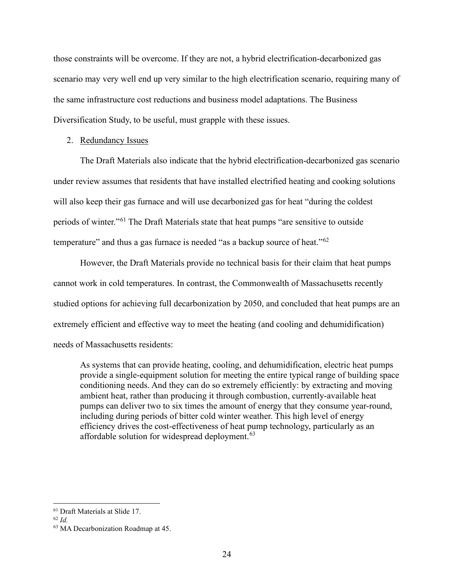those constraints will be overcome. If they are not, a hybrid electrification-decarbonized gas scenario may very well end up very similar to the high electrification scenario, requiring many of the same infrastructure cost reductions and business model adaptations. The Business Diversification Study, to be useful, must grapple with these issues.

#### <span id="page-27-0"></span>2. Redundancy Issues

The Draft Materials also indicate that the hybrid electrification-decarbonized gas scenario under review assumes that residents that have installed electrified heating and cooking solutions will also keep their gas furnace and will use decarbonized gas for heat "during the coldest periods of winter."[61](#page-27-1) The Draft Materials state that heat pumps "are sensitive to outside temperature" and thus a gas furnace is needed "as a backup source of heat."<sup>[62](#page-27-2)</sup>

However, the Draft Materials provide no technical basis for their claim that heat pumps cannot work in cold temperatures. In contrast, the Commonwealth of Massachusetts recently studied options for achieving full decarbonization by 2050, and concluded that heat pumps are an extremely efficient and effective way to meet the heating (and cooling and dehumidification) needs of Massachusetts residents:

As systems that can provide heating, cooling, and dehumidification, electric heat pumps provide a single-equipment solution for meeting the entire typical range of building space conditioning needs. And they can do so extremely efficiently: by extracting and moving ambient heat, rather than producing it through combustion, currently-available heat pumps can deliver two to six times the amount of energy that they consume year-round, including during periods of bitter cold winter weather. This high level of energy efficiency drives the cost-effectiveness of heat pump technology, particularly as an affordable solution for widespread deployment.<sup>[63](#page-27-3)</sup>

<span id="page-27-1"></span><sup>61</sup> Draft Materials at Slide 17. 62 *Id.*

<span id="page-27-2"></span>

<span id="page-27-3"></span><sup>63</sup> MA Decarbonization Roadmap at 45.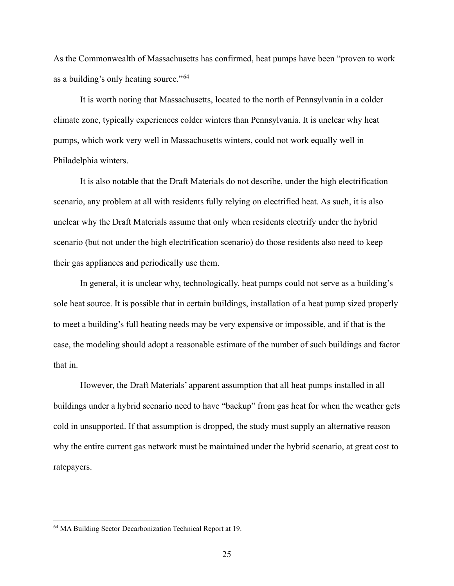As the Commonwealth of Massachusetts has confirmed, heat pumps have been "proven to work as a building's only heating source."<sup>[64](#page-28-0)</sup>

It is worth noting that Massachusetts, located to the north of Pennsylvania in a colder climate zone, typically experiences colder winters than Pennsylvania. It is unclear why heat pumps, which work very well in Massachusetts winters, could not work equally well in Philadelphia winters.

It is also notable that the Draft Materials do not describe, under the high electrification scenario, any problem at all with residents fully relying on electrified heat. As such, it is also unclear why the Draft Materials assume that only when residents electrify under the hybrid scenario (but not under the high electrification scenario) do those residents also need to keep their gas appliances and periodically use them.

In general, it is unclear why, technologically, heat pumps could not serve as a building's sole heat source. It is possible that in certain buildings, installation of a heat pump sized properly to meet a building's full heating needs may be very expensive or impossible, and if that is the case, the modeling should adopt a reasonable estimate of the number of such buildings and factor that in.

However, the Draft Materials' apparent assumption that all heat pumps installed in all buildings under a hybrid scenario need to have "backup" from gas heat for when the weather gets cold in unsupported. If that assumption is dropped, the study must supply an alternative reason why the entire current gas network must be maintained under the hybrid scenario, at great cost to ratepayers.

<span id="page-28-0"></span><sup>64</sup> MA Building Sector Decarbonization Technical Report at 19.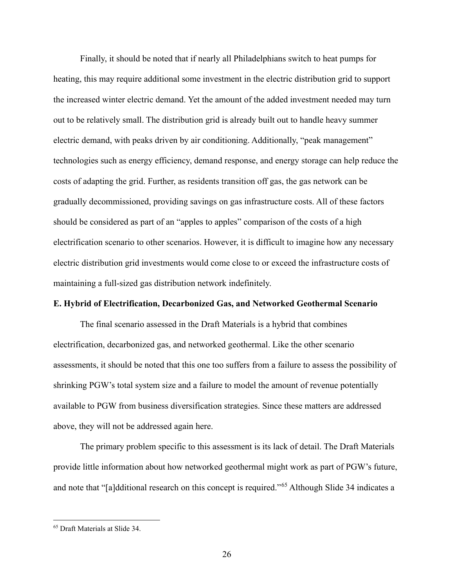Finally, it should be noted that if nearly all Philadelphians switch to heat pumps for heating, this may require additional some investment in the electric distribution grid to support the increased winter electric demand. Yet the amount of the added investment needed may turn out to be relatively small. The distribution grid is already built out to handle heavy summer electric demand, with peaks driven by air conditioning. Additionally, "peak management" technologies such as energy efficiency, demand response, and energy storage can help reduce the costs of adapting the grid. Further, as residents transition off gas, the gas network can be gradually decommissioned, providing savings on gas infrastructure costs. All of these factors should be considered as part of an "apples to apples" comparison of the costs of a high electrification scenario to other scenarios. However, it is difficult to imagine how any necessary electric distribution grid investments would come close to or exceed the infrastructure costs of maintaining a full-sized gas distribution network indefinitely.

#### <span id="page-29-0"></span>**E. Hybrid of Electrification, Decarbonized Gas, and Networked Geothermal Scenario**

The final scenario assessed in the Draft Materials is a hybrid that combines electrification, decarbonized gas, and networked geothermal. Like the other scenario assessments, it should be noted that this one too suffers from a failure to assess the possibility of shrinking PGW's total system size and a failure to model the amount of revenue potentially available to PGW from business diversification strategies. Since these matters are addressed above, they will not be addressed again here.

The primary problem specific to this assessment is its lack of detail. The Draft Materials provide little information about how networked geothermal might work as part of PGW's future, and note that "[a]dditional research on this concept is required."[65](#page-29-1) Although Slide 34 indicates a

<span id="page-29-1"></span><sup>65</sup> Draft Materials at Slide 34.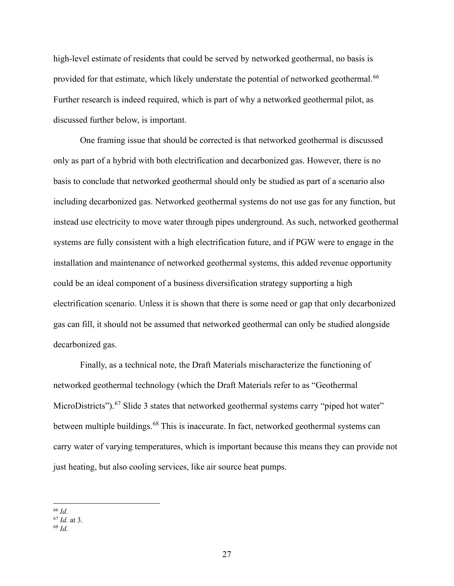high-level estimate of residents that could be served by networked geothermal, no basis is provided for that estimate, which likely understate the potential of networked geothermal.<sup>[66](#page-30-0)</sup> Further research is indeed required, which is part of why a networked geothermal pilot, as discussed further below, is important.

One framing issue that should be corrected is that networked geothermal is discussed only as part of a hybrid with both electrification and decarbonized gas. However, there is no basis to conclude that networked geothermal should only be studied as part of a scenario also including decarbonized gas. Networked geothermal systems do not use gas for any function, but instead use electricity to move water through pipes underground. As such, networked geothermal systems are fully consistent with a high electrification future, and if PGW were to engage in the installation and maintenance of networked geothermal systems, this added revenue opportunity could be an ideal component of a business diversification strategy supporting a high electrification scenario. Unless it is shown that there is some need or gap that only decarbonized gas can fill, it should not be assumed that networked geothermal can only be studied alongside decarbonized gas.

Finally, as a technical note, the Draft Materials mischaracterize the functioning of networked geothermal technology (which the Draft Materials refer to as "Geothermal MicroDistricts").<sup>[67](#page-30-1)</sup> Slide 3 states that networked geothermal systems carry "piped hot water" between multiple buildings.<sup>[68](#page-30-2)</sup> This is inaccurate. In fact, networked geothermal systems can carry water of varying temperatures, which is important because this means they can provide not just heating, but also cooling services, like air source heat pumps.

<sup>66</sup> *Id.*

<span id="page-30-1"></span><span id="page-30-0"></span> $\frac{67}{68}$  *Id.* at 3.

<span id="page-30-2"></span>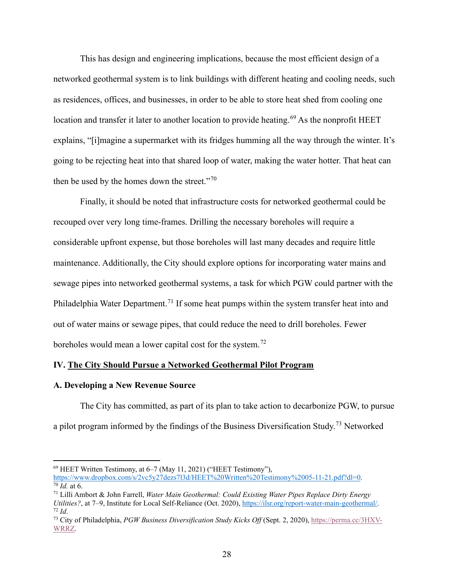This has design and engineering implications, because the most efficient design of a networked geothermal system is to link buildings with different heating and cooling needs, such as residences, offices, and businesses, in order to be able to store heat shed from cooling one location and transfer it later to another location to provide heating.<sup>[69](#page-31-2)</sup> As the nonprofit HEET explains, "[i]magine a supermarket with its fridges humming all the way through the winter. It's going to be rejecting heat into that shared loop of water, making the water hotter. That heat can then be used by the homes down the street."[70](#page-31-3)

Finally, it should be noted that infrastructure costs for networked geothermal could be recouped over very long time-frames. Drilling the necessary boreholes will require a considerable upfront expense, but those boreholes will last many decades and require little maintenance. Additionally, the City should explore options for incorporating water mains and sewage pipes into networked geothermal systems, a task for which PGW could partner with the Philadelphia Water Department.<sup>[71](#page-31-4)</sup> If some heat pumps within the system transfer heat into and out of water mains or sewage pipes, that could reduce the need to drill boreholes. Fewer boreholes would mean a lower capital cost for the system.<sup>[72](#page-31-5)</sup>

## <span id="page-31-0"></span>**IV. The City Should Pursue a Networked Geothermal Pilot Program**

#### <span id="page-31-1"></span>**A. Developing a New Revenue Source**

The City has committed, as part of its plan to take action to decarbonize PGW, to pursue a pilot program informed by the findings of the Business Diversification Study.<sup>[73](#page-31-6)</sup> Networked

<span id="page-31-2"></span><sup>&</sup>lt;sup>69</sup> HEET Written Testimony, at  $6-7$  (May 11, 2021) ("HEET Testimony"),<br>https://www.dropbox.com/s/2vc5y27dezs7l3d/HEET%20Written%20Testimony%2005-11-21.pdf?dl=0. <sup>70</sup> Id. at 6.<br><sup>71</sup> Lilli Ambort & John Farrell, *Water Main Geothermal: Could Existing Water Pipes Replace Dirty Energy* 

<span id="page-31-4"></span><span id="page-31-3"></span>*Utilities?*, at 7–9, Institute for Local Self-Reliance (Oct. 2020), [https://ilsr.org/report-water-main-geothermal/.](https://ilsr.org/report-water-main-geothermal/) <sup>72</sup> *Id*.

<span id="page-31-6"></span><span id="page-31-5"></span><sup>72</sup> *Id*. 73 City of Philadelphia, *PGW Business Diversification Study Kicks Off* (Sept. 2, 2020), [https://perma.cc/3HXV-](https://perma.cc/3HXV-WRRZ)[WRRZ.](https://perma.cc/3HXV-WRRZ)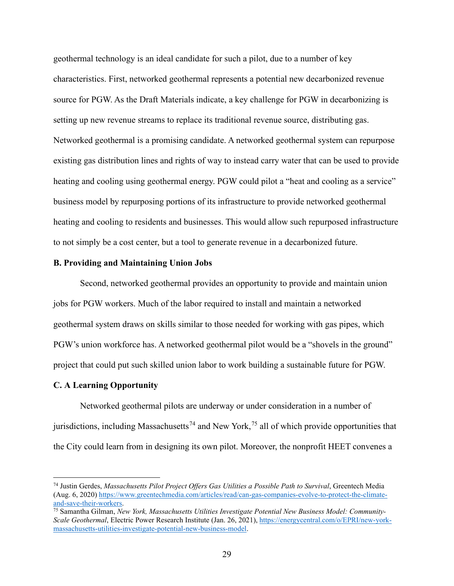geothermal technology is an ideal candidate for such a pilot, due to a number of key characteristics. First, networked geothermal represents a potential new decarbonized revenue source for PGW. As the Draft Materials indicate, a key challenge for PGW in decarbonizing is setting up new revenue streams to replace its traditional revenue source, distributing gas. Networked geothermal is a promising candidate. A networked geothermal system can repurpose existing gas distribution lines and rights of way to instead carry water that can be used to provide heating and cooling using geothermal energy. PGW could pilot a "heat and cooling as a service" business model by repurposing portions of its infrastructure to provide networked geothermal heating and cooling to residents and businesses. This would allow such repurposed infrastructure to not simply be a cost center, but a tool to generate revenue in a decarbonized future.

#### <span id="page-32-0"></span>**B. Providing and Maintaining Union Jobs**

Second, networked geothermal provides an opportunity to provide and maintain union jobs for PGW workers. Much of the labor required to install and maintain a networked geothermal system draws on skills similar to those needed for working with gas pipes, which PGW's union workforce has. A networked geothermal pilot would be a "shovels in the ground" project that could put such skilled union labor to work building a sustainable future for PGW.

#### <span id="page-32-1"></span>**C. A Learning Opportunity**

Networked geothermal pilots are underway or under consideration in a number of jurisdictions, including Massachusetts<sup>[74](#page-32-2)</sup> and New York,<sup>[75](#page-32-3)</sup> all of which provide opportunities that the City could learn from in designing its own pilot. Moreover, the nonprofit HEET convenes a

<span id="page-32-2"></span><sup>74</sup> Justin Gerdes, *Massachusetts Pilot Project Offers Gas Utilities a Possible Path to Survival*, Greentech Media (Aug. 6, 2020) [https://www.greentechmedia.com/articles/read/can-gas-companies-evolve-to-protect-the-climate](https://www.greentechmedia.com/articles/read/can-gas-companies-evolve-to-protect-the-climate-and-save-their-workers)[and-save-their-workers.](https://www.greentechmedia.com/articles/read/can-gas-companies-evolve-to-protect-the-climate-and-save-their-workers)

<span id="page-32-3"></span><sup>75</sup> Samantha Gilman, *New York, Massachusetts Utilities Investigate Potential New Business Model: Community-Scale Geothermal*, Electric Power Research Institute (Jan. 26, 2021), [https://energycentral.com/o/EPRI/new-york](https://energycentral.com/o/EPRI/new-york-massachusetts-utilities-investigate-potential-new-business-model)[massachusetts-utilities-investigate-potential-new-business-model.](https://energycentral.com/o/EPRI/new-york-massachusetts-utilities-investigate-potential-new-business-model)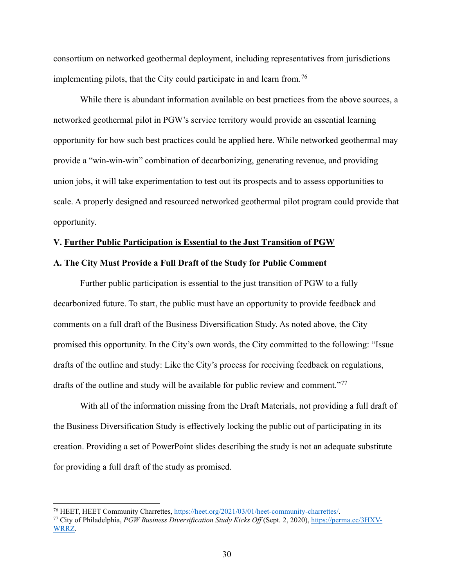consortium on networked geothermal deployment, including representatives from jurisdictions implementing pilots, that the City could participate in and learn from.<sup>[76](#page-33-2)</sup>

While there is abundant information available on best practices from the above sources, a networked geothermal pilot in PGW's service territory would provide an essential learning opportunity for how such best practices could be applied here. While networked geothermal may provide a "win-win-win" combination of decarbonizing, generating revenue, and providing union jobs, it will take experimentation to test out its prospects and to assess opportunities to scale. A properly designed and resourced networked geothermal pilot program could provide that opportunity.

#### <span id="page-33-0"></span>**V. Further Public Participation is Essential to the Just Transition of PGW**

#### <span id="page-33-1"></span>**A. The City Must Provide a Full Draft of the Study for Public Comment**

Further public participation is essential to the just transition of PGW to a fully decarbonized future. To start, the public must have an opportunity to provide feedback and comments on a full draft of the Business Diversification Study. As noted above, the City promised this opportunity. In the City's own words, the City committed to the following: "Issue drafts of the outline and study: Like the City's process for receiving feedback on regulations, drafts of the outline and study will be available for public review and comment."<sup>[77](#page-33-3)</sup>

With all of the information missing from the Draft Materials, not providing a full draft of the Business Diversification Study is effectively locking the public out of participating in its creation. Providing a set of PowerPoint slides describing the study is not an adequate substitute for providing a full draft of the study as promised.

<span id="page-33-2"></span><sup>76</sup> HEET, HEET Community Charrettes, [https://heet.org/2021/03/01/heet-community-charrettes/.](https://heet.org/2021/03/01/heet-community-charrettes/)

<span id="page-33-3"></span><sup>77</sup> City of Philadelphia, *PGW Business Diversification Study Kicks Off* (Sept. 2, 2020), [https://perma.cc/3HXV-](https://perma.cc/3HXV-WRRZ)[WRRZ.](https://perma.cc/3HXV-WRRZ)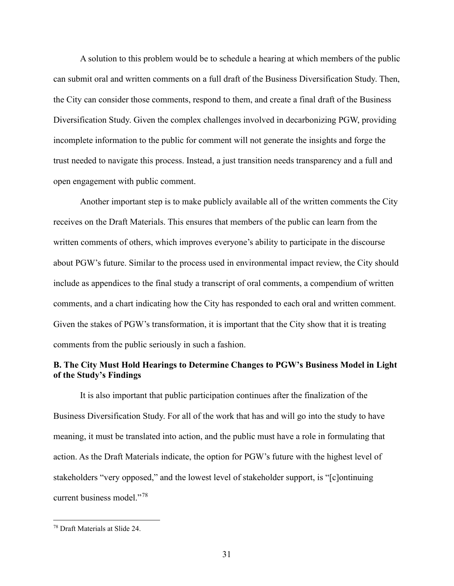A solution to this problem would be to schedule a hearing at which members of the public can submit oral and written comments on a full draft of the Business Diversification Study. Then, the City can consider those comments, respond to them, and create a final draft of the Business Diversification Study. Given the complex challenges involved in decarbonizing PGW, providing incomplete information to the public for comment will not generate the insights and forge the trust needed to navigate this process. Instead, a just transition needs transparency and a full and open engagement with public comment.

Another important step is to make publicly available all of the written comments the City receives on the Draft Materials. This ensures that members of the public can learn from the written comments of others, which improves everyone's ability to participate in the discourse about PGW's future. Similar to the process used in environmental impact review, the City should include as appendices to the final study a transcript of oral comments, a compendium of written comments, and a chart indicating how the City has responded to each oral and written comment. Given the stakes of PGW's transformation, it is important that the City show that it is treating comments from the public seriously in such a fashion.

## <span id="page-34-0"></span>**B. The City Must Hold Hearings to Determine Changes to PGW's Business Model in Light of the Study's Findings**

It is also important that public participation continues after the finalization of the Business Diversification Study. For all of the work that has and will go into the study to have meaning, it must be translated into action, and the public must have a role in formulating that action. As the Draft Materials indicate, the option for PGW's future with the highest level of stakeholders "very opposed," and the lowest level of stakeholder support, is "[c]ontinuing current business model."[78](#page-34-1)

<span id="page-34-1"></span><sup>78</sup> Draft Materials at Slide 24.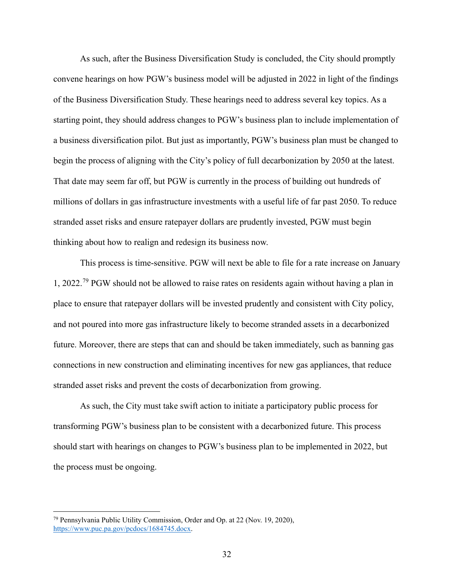As such, after the Business Diversification Study is concluded, the City should promptly convene hearings on how PGW's business model will be adjusted in 2022 in light of the findings of the Business Diversification Study. These hearings need to address several key topics. As a starting point, they should address changes to PGW's business plan to include implementation of a business diversification pilot. But just as importantly, PGW's business plan must be changed to begin the process of aligning with the City's policy of full decarbonization by 2050 at the latest. That date may seem far off, but PGW is currently in the process of building out hundreds of millions of dollars in gas infrastructure investments with a useful life of far past 2050. To reduce stranded asset risks and ensure ratepayer dollars are prudently invested, PGW must begin thinking about how to realign and redesign its business now.

This process is time-sensitive. PGW will next be able to file for a rate increase on January 1, 2022.<sup>[79](#page-35-0)</sup> PGW should not be allowed to raise rates on residents again without having a plan in place to ensure that ratepayer dollars will be invested prudently and consistent with City policy, and not poured into more gas infrastructure likely to become stranded assets in a decarbonized future. Moreover, there are steps that can and should be taken immediately, such as banning gas connections in new construction and eliminating incentives for new gas appliances, that reduce stranded asset risks and prevent the costs of decarbonization from growing.

As such, the City must take swift action to initiate a participatory public process for transforming PGW's business plan to be consistent with a decarbonized future. This process should start with hearings on changes to PGW's business plan to be implemented in 2022, but the process must be ongoing.

<span id="page-35-0"></span><sup>79</sup> Pennsylvania Public Utility Commission, Order and Op. at 22 (Nov. 19, 2020), [https://www.puc.pa.gov/pcdocs/1684745.docx.](https://www.puc.pa.gov/pcdocs/1684745.docx)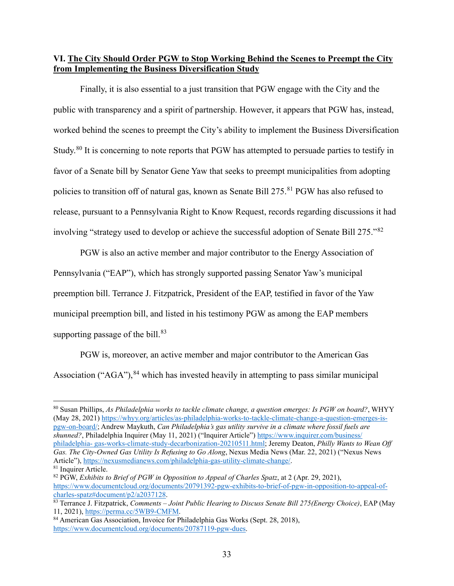## <span id="page-36-0"></span>**VI. The City Should Order PGW to Stop Working Behind the Scenes to Preempt the City from Implementing the Business Diversification Study**

Finally, it is also essential to a just transition that PGW engage with the City and the public with transparency and a spirit of partnership. However, it appears that PGW has, instead, worked behind the scenes to preempt the City's ability to implement the Business Diversification Study.<sup>[80](#page-36-1)</sup> It is concerning to note reports that PGW has attempted to persuade parties to testify in favor of a Senate bill by Senator Gene Yaw that seeks to preempt municipalities from adopting policies to transition off of natural gas, known as Senate Bill 275.<sup>[81](#page-36-2)</sup> PGW has also refused to release, pursuant to a Pennsylvania Right to Know Request, records regarding discussions it had involving "strategy used to develop or achieve the successful adoption of Senate Bill 275."[82](#page-36-3)

PGW is also an active member and major contributor to the Energy Association of Pennsylvania ("EAP"), which has strongly supported passing Senator Yaw's municipal preemption bill. Terrance J. Fitzpatrick, President of the EAP, testified in favor of the Yaw municipal preemption bill, and listed in his testimony PGW as among the EAP members supporting passage of the bill. $83$ 

PGW is, moreover, an active member and major contributor to the American Gas Association ("AGA"),  $84$  which has invested heavily in attempting to pass similar municipal

<span id="page-36-1"></span><sup>80</sup> Susan Phillips, *As Philadelphia works to tackle climate change, a question emerges: Is PGW on board?*, WHYY (May 28, 2021) [https://whyy.org/articles/as-philadelphia-works-to-tackle-climate-change-a-question-emerges-is](https://whyy.org/articles/as-philadelphia-works-to-tackle-climate-change-a-question-emerges-is-pgw-on-board/)[pgw-on-board/;](https://whyy.org/articles/as-philadelphia-works-to-tackle-climate-change-a-question-emerges-is-pgw-on-board/) Andrew Maykuth, *Can Philadelphia's gas utility survive in a climate where fossil fuels are shunned?*, Philadelphia Inquirer (May 11, 2021) ("Inquirer Article") [https://www.inquirer.com/business/](https://www.inquirer.com/business/%20philadelphia-%20gas-works-climate-study-decarbonization-20210511.html) philadelphia- [gas-works-climate-study-decarbonization-20210511.html;](https://www.inquirer.com/business/%20philadelphia-%20gas-works-climate-study-decarbonization-20210511.html) Jeremy Deaton, *Philly Wants to Wean Off Gas. The City-Owned Gas Utility Is Refusing to Go Along*, Nexus Media News (Mar. 22, 2021) ("Nexus News Article"), [https://nexusmedianews.com/philadelphia-gas-utility-climate-change/.](https://nexusmedianews.com/philadelphia-gas-utility-climate-change/)

<span id="page-36-2"></span><sup>&</sup>lt;sup>81</sup> Inquirer Article.

<span id="page-36-3"></span><sup>82</sup> PGW, *Exhibits to Brief of PGW in Opposition to Appeal of Charles Spatz*, at 2 (Apr. 29, 2021), [https://www.documentcloud.org/documents/20791392-pgw-exhibits-to-brief-of-pgw-in-opposition-to-appeal-of](https://www.documentcloud.org/documents/20791392-pgw-exhibits-to-brief-of-pgw-in-opposition-to-appeal-of-charles-spatz#document/p2/a2037128)[charles-spatz#document/p2/a2037128.](https://www.documentcloud.org/documents/20791392-pgw-exhibits-to-brief-of-pgw-in-opposition-to-appeal-of-charles-spatz#document/p2/a2037128)

<span id="page-36-4"></span><sup>83</sup> Terrance J. Fitzpatrick, *Comments – Joint Public Hearing to Discuss Senate Bill 275(Energy Choice)*, EAP (May 11, 2021), [https://perma.cc/5WB9-CMFM.](https://perma.cc/5WB9-CMFM)

<span id="page-36-5"></span><sup>84</sup> American Gas Association, Invoice for Philadelphia Gas Works (Sept. 28, 2018), [https://www.documentcloud.org/documents/20787119-pgw-dues.](https://www.documentcloud.org/documents/20787119-pgw-dues)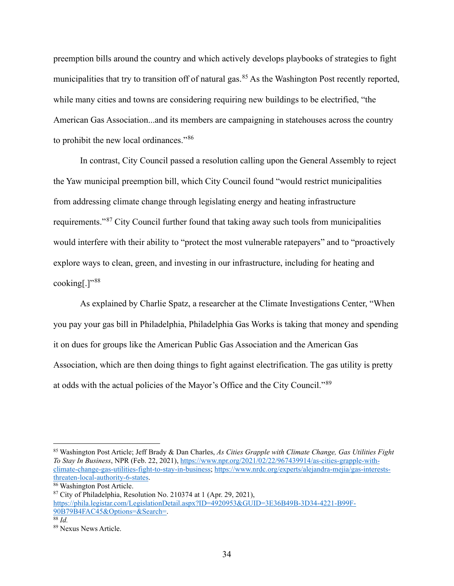preemption bills around the country and which actively develops playbooks of strategies to fight municipalities that try to transition off of natural gas.<sup>[85](#page-37-0)</sup> As the Washington Post recently reported, while many cities and towns are considering requiring new buildings to be electrified, "the American Gas Association...and its members are campaigning in statehouses across the country to prohibit the new local ordinances."[86](#page-37-1)

In contrast, City Council passed a resolution calling upon the General Assembly to reject the Yaw municipal preemption bill, which City Council found "would restrict municipalities from addressing climate change through legislating energy and heating infrastructure requirements."[87](#page-37-2) City Council further found that taking away such tools from municipalities would interfere with their ability to "protect the most vulnerable ratepayers" and to "proactively explore ways to clean, green, and investing in our infrastructure, including for heating and cooking[.] $"38"$ 

As explained by Charlie Spatz, a researcher at the Climate Investigations Center, "When you pay your gas bill in Philadelphia, Philadelphia Gas Works is taking that money and spending it on dues for groups like the American Public Gas Association and the American Gas Association, which are then doing things to fight against electrification. The gas utility is pretty at odds with the actual policies of the Mayor's Office and the City Council."[89](#page-37-4)

<span id="page-37-2"></span> $87$  City of Philadelphia, Resolution No. 210374 at 1 (Apr. 29, 2021), [https://phila.legistar.com/LegislationDetail.aspx?ID=4920953&GUID=3E36B49B-3D34-4221-B99F-](https://phila.legistar.com/LegislationDetail.aspx?ID=4920953&GUID=3E36B49B-3D34-4221-B99F-90B79B4FAC45&Options=&Search=)[90B79B4FAC45&Options=&Search=.](https://phila.legistar.com/LegislationDetail.aspx?ID=4920953&GUID=3E36B49B-3D34-4221-B99F-90B79B4FAC45&Options=&Search=)

<span id="page-37-0"></span><sup>85</sup> Washington Post Article; Jeff Brady & Dan Charles, *As Cities Grapple with Climate Change, Gas Utilities Fight To Stay In Business*, NPR (Feb. 22, 2021), [https://www.npr.org/2021/02/22/967439914/as-cities-grapple-with](https://www.npr.org/2021/02/22/967439914/as-cities-grapple-with-climate-change-gas-utilities-fight-to-stay-in-business)[climate-change-gas-utilities-fight-to-stay-in-business;](https://www.npr.org/2021/02/22/967439914/as-cities-grapple-with-climate-change-gas-utilities-fight-to-stay-in-business) [https://www.nrdc.org/experts/alejandra-mejia/gas-interests](https://www.nrdc.org/experts/alejandra-mejia/gas-interests-threaten-local-authority-6-states)[threaten-local-authority-6-states.](https://www.nrdc.org/experts/alejandra-mejia/gas-interests-threaten-local-authority-6-states)

<span id="page-37-1"></span><sup>86</sup> Washington Post Article.

<span id="page-37-3"></span> $\overline{\frac{88}{d}}$ *Id.* 

<span id="page-37-4"></span><sup>89</sup> Nexus News Article.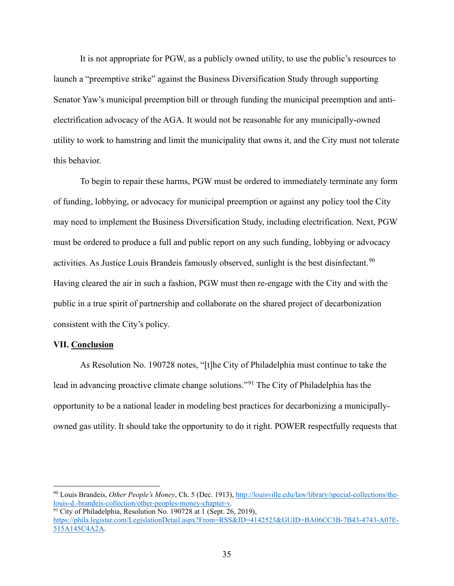It is not appropriate for PGW, as a publicly owned utility, to use the public's resources to launch a "preemptive strike" against the Business Diversification Study through supporting Senator Yaw's municipal preemption bill or through funding the municipal preemption and antielectrification advocacy of the AGA. It would not be reasonable for any municipally-owned utility to work to hamstring and limit the municipality that owns it, and the City must not tolerate this behavior.

To begin to repair these harms, PGW must be ordered to immediately terminate any form of funding, lobbying, or advocacy for municipal preemption or against any policy tool the City may need to implement the Business Diversification Study, including electrification. Next, PGW must be ordered to produce a full and public report on any such funding, lobbying or advocacy activities. As Justice Louis Brandeis famously observed, sunlight is the best disinfectant.<sup>[90](#page-38-1)</sup> Having cleared the air in such a fashion, PGW must then re-engage with the City and with the public in a true spirit of partnership and collaborate on the shared project of decarbonization consistent with the City's policy.

#### <span id="page-38-0"></span>**VII. Conclusion**

As Resolution No. 190728 notes, "[t]he City of Philadelphia must continue to take the lead in advancing proactive climate change solutions."[91](#page-38-2) The City of Philadelphia has the opportunity to be a national leader in modeling best practices for decarbonizing a municipallyowned gas utility. It should take the opportunity to do it right. POWER respectfully requests that

<span id="page-38-1"></span><sup>90</sup> Louis Brandeis, *Other People's Money*, Ch. 5 (Dec. 1913), [http://louisville.edu/law/library/special-collections/the](http://louisville.edu/law/library/special-collections/the-louis-d.-brandeis-collection/other-peoples-money-chapter-v)[louis-d.-brandeis-collection/other-peoples-money-chapter-v.](http://louisville.edu/law/library/special-collections/the-louis-d.-brandeis-collection/other-peoples-money-chapter-v)

<span id="page-38-2"></span> $\frac{91}{2}$  City of Philadelphia, Resolution No. 190728 at 1 (Sept. 26, 2019), [https://phila.legistar.com/LegislationDetail.aspx?From=RSS&ID=4142523&GUID=BA06CC3B-7B43-4743-A07E-](https://phila.legistar.com/LegislationDetail.aspx?From=RSS&ID=4142523&GUID=BA06CC3B-7B43-4743-A07E-515A145C4A2A)[515A145C4A2A.](https://phila.legistar.com/LegislationDetail.aspx?From=RSS&ID=4142523&GUID=BA06CC3B-7B43-4743-A07E-515A145C4A2A)